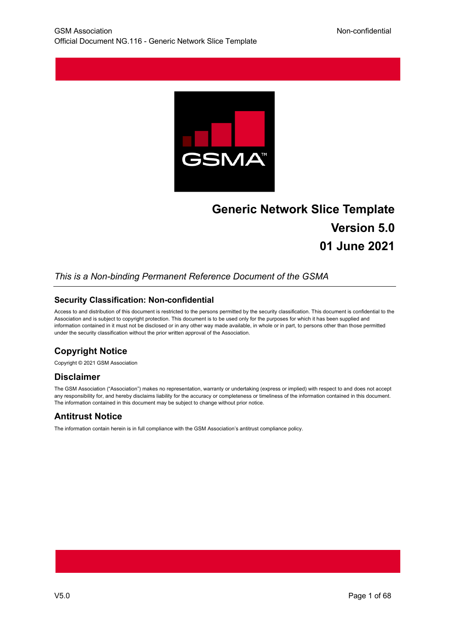

# **Generic Network Slice Template Version 5.0 01 June 2021**

## *This is a Non-binding Permanent Reference Document of the GSMA*

#### **Security Classification: Non-confidential**

Access to and distribution of this document is restricted to the persons permitted by the security classification. This document is confidential to the Association and is subject to copyright protection. This document is to be used only for the purposes for which it has been supplied and information contained in it must not be disclosed or in any other way made available, in whole or in part, to persons other than those permitted under the security classification without the prior written approval of the Association.

## **Copyright Notice**

Copyright © 2021 GSM Association

## **Disclaimer**

The GSM Association ("Association") makes no representation, warranty or undertaking (express or implied) with respect to and does not accept any responsibility for, and hereby disclaims liability for the accuracy or completeness or timeliness of the information contained in this document. The information contained in this document may be subject to change without prior notice.

## **Antitrust Notice**

The information contain herein is in full compliance with the GSM Association's antitrust compliance policy.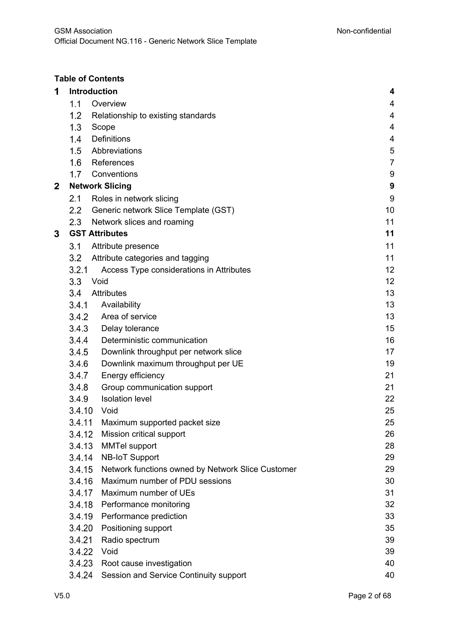## **Table of Contents**

| 1 | <b>Introduction</b> |                                                   | 4                |
|---|---------------------|---------------------------------------------------|------------------|
|   | 1.1                 | Overview                                          | 4                |
|   | 1.2                 | Relationship to existing standards                | 4                |
|   | 1.3                 | Scope                                             | $\overline{4}$   |
|   | 1.4                 | <b>Definitions</b>                                | 4                |
|   | 1.5                 | Abbreviations                                     | 5                |
|   | 1.6                 | References                                        | $\overline{7}$   |
|   | 1.7                 | Conventions                                       | $9\,$            |
| 2 |                     | <b>Network Slicing</b>                            | $\boldsymbol{9}$ |
|   | 2.1                 | Roles in network slicing                          | 9                |
|   | $2.2\,$             | Generic network Slice Template (GST)              | 10               |
|   | $2.3\phantom{0}$    | Network slices and roaming                        | 11               |
| 3 |                     | <b>GST Attributes</b>                             | 11               |
|   | 3.1                 | Attribute presence                                | 11               |
|   | 3.2                 | Attribute categories and tagging                  | 11               |
|   | 3.2.1               | Access Type considerations in Attributes          | 12               |
|   | 3.3                 | Void                                              | 12               |
|   | 3.4                 | <b>Attributes</b>                                 | 13               |
|   | 3.4.1               | Availability                                      | 13               |
|   | 3.4.2               | Area of service                                   | 13               |
|   | 3.4.3               | Delay tolerance                                   | 15               |
|   | 3.4.4               | Deterministic communication                       | 16               |
|   | 3.4.5               | Downlink throughput per network slice             | 17               |
|   | 3.4.6               | Downlink maximum throughput per UE                | 19               |
|   | 3.4.7               | Energy efficiency                                 | 21               |
|   | 3.4.8               | Group communication support                       | 21               |
|   | 3.4.9               | <b>Isolation level</b>                            | 22               |
|   | 3.4.10              | Void                                              | 25               |
|   |                     | 3.4.11 Maximum supported packet size              | 25               |
|   | 3.4.12              | Mission critical support                          | 26               |
|   | 3.4.13              | <b>MMTel support</b>                              | 28               |
|   | 3.4.14              | <b>NB-IoT Support</b>                             | 29               |
|   | 3.4.15              | Network functions owned by Network Slice Customer | 29               |
|   | 3.4.16              | Maximum number of PDU sessions                    | 30               |
|   | 3.4.17              | Maximum number of UEs                             | 31               |
|   | 3.4.18              | Performance monitoring                            | 32               |
|   | 3.4.19              | Performance prediction                            | 33               |
|   | 3.4.20              | Positioning support                               | 35               |
|   | 3.4.21              | Radio spectrum                                    | 39               |
|   | 3.4.22              | Void                                              | 39               |
|   | 3.4.23              | Root cause investigation                          | 40               |
|   | 3.4.24              | Session and Service Continuity support            | 40               |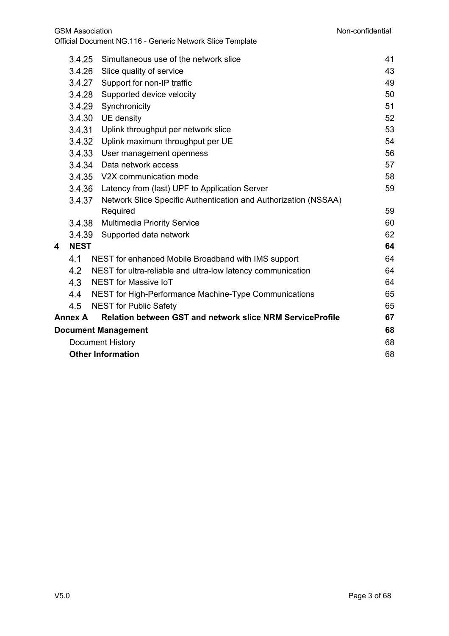|   | 3.4.25                             | Simultaneous use of the network slice                            | 41 |
|---|------------------------------------|------------------------------------------------------------------|----|
|   | 3.4.26<br>Slice quality of service |                                                                  | 43 |
|   |                                    | 3.4.27 Support for non-IP traffic                                | 49 |
|   | 3.4.28                             | Supported device velocity                                        | 50 |
|   | 3.4.29                             | Synchronicity                                                    | 51 |
|   | 3.4.30                             | UE density                                                       | 52 |
|   | 3.4.31                             | Uplink throughput per network slice                              | 53 |
|   | 3.4.32                             | Uplink maximum throughput per UE                                 | 54 |
|   | 3.4.33                             | User management openness                                         | 56 |
|   |                                    | 3.4.34 Data network access                                       | 57 |
|   | 3.4.35                             | V2X communication mode                                           | 58 |
|   | 3.4.36                             | Latency from (last) UPF to Application Server                    | 59 |
|   | 3.4.37                             | Network Slice Specific Authentication and Authorization (NSSAA)  |    |
|   |                                    | Required                                                         | 59 |
|   | 3.4.38                             | <b>Multimedia Priority Service</b>                               | 60 |
|   | 3.4.39                             | Supported data network                                           | 62 |
| 4 | <b>NEST</b>                        |                                                                  | 64 |
|   | 4.1                                | NEST for enhanced Mobile Broadband with IMS support              | 64 |
|   | 4.2                                | NEST for ultra-reliable and ultra-low latency communication      | 64 |
|   | 4.3                                | NEST for Massive IoT                                             | 64 |
|   | 4.4                                | NEST for High-Performance Machine-Type Communications            | 65 |
|   | 4.5                                | <b>NEST for Public Safety</b>                                    | 65 |
|   | <b>Annex A</b>                     | <b>Relation between GST and network slice NRM ServiceProfile</b> | 67 |
|   |                                    | <b>Document Management</b>                                       | 68 |
|   |                                    | Document History                                                 | 68 |
|   |                                    | <b>Other Information</b>                                         | 68 |
|   |                                    |                                                                  |    |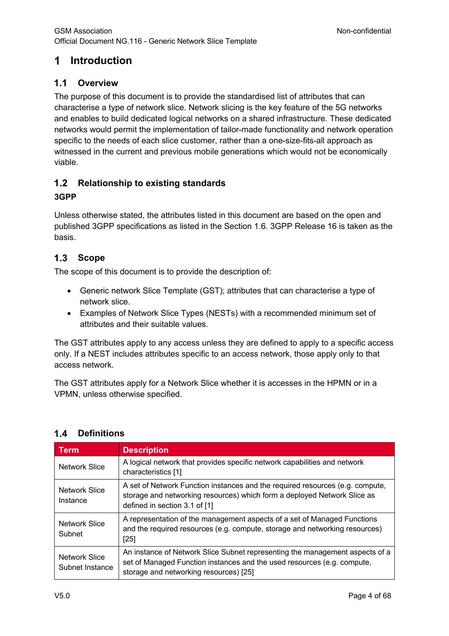#### **Introduction**  $\mathbf 1$

#### $1.1$ **Overview**

The purpose of this document is to provide the standardised list of attributes that can characterise a type of network slice. Network slicing is the key feature of the 5G networks and enables to build dedicated logical networks on a shared infrastructure. These dedicated networks would permit the implementation of tailor-made functionality and network operation specific to the needs of each slice customer, rather than a one-size-fits-all approach as witnessed in the current and previous mobile generations which would not be economically viable.

## **Relationship to existing standards**

## **3GPP**

Unless otherwise stated, the attributes listed in this document are based on the open and published 3GPP specifications as listed in the Section 1.6. 3GPP Release 16 is taken as the basis.

#### $1.3$ **Scope**

The scope of this document is to provide the description of:

- Generic network Slice Template (GST); attributes that can characterise a type of network slice.
- Examples of Network Slice Types (NESTs) with a recommended minimum set of attributes and their suitable values.

The GST attributes apply to any access unless they are defined to apply to a specific access only. If a NEST includes attributes specific to an access network, those apply only to that access network.

The GST attributes apply for a Network Slice whether it is accesses in the HPMN or in a VPMN, unless otherwise specified.

| <b>Term</b>                      | <b>Description</b>                                                                                                                                                                                |
|----------------------------------|---------------------------------------------------------------------------------------------------------------------------------------------------------------------------------------------------|
| <b>Network Slice</b>             | A logical network that provides specific network capabilities and network<br>characteristics [1]                                                                                                  |
| Network Slice<br>Instance        | A set of Network Function instances and the required resources (e.g. compute,<br>storage and networking resources) which form a deployed Network Slice as<br>defined in section 3.1 of [1]        |
| Network Slice<br>Subnet          | A representation of the management aspects of a set of Managed Functions<br>and the required resources (e.g. compute, storage and networking resources)<br>$[25]$                                 |
| Network Slice<br>Subnet Instance | An instance of Network Slice Subnet representing the management aspects of a<br>set of Managed Function instances and the used resources (e.g. compute,<br>storage and networking resources) [25] |

#### $1.4$ **Definitions**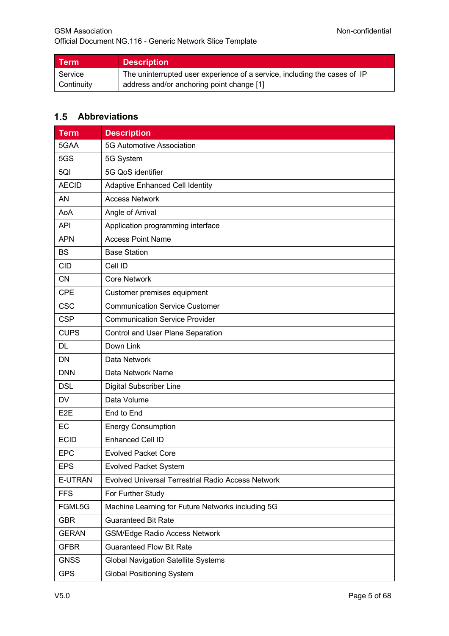| Term       | <b>Description</b>                                                        |
|------------|---------------------------------------------------------------------------|
| Service    | The uninterrupted user experience of a service, including the cases of IP |
| Continuity | address and/or anchoring point change [1]                                 |

## **Abbreviations**

| <b>Term</b><br><b>Description</b>                   |                                                    |
|-----------------------------------------------------|----------------------------------------------------|
| 5GAA                                                | 5G Automotive Association                          |
| 5GS<br>5G System                                    |                                                    |
| 5QI<br>5G QoS identifier                            |                                                    |
| <b>AECID</b>                                        | <b>Adaptive Enhanced Cell Identity</b>             |
| AN                                                  | <b>Access Network</b>                              |
| AoA                                                 | Angle of Arrival                                   |
| <b>API</b>                                          | Application programming interface                  |
| <b>APN</b>                                          | <b>Access Point Name</b>                           |
| <b>BS</b>                                           | <b>Base Station</b>                                |
| <b>CID</b>                                          | Cell ID                                            |
| <b>CN</b>                                           | <b>Core Network</b>                                |
| <b>CPE</b>                                          | Customer premises equipment                        |
| <b>CSC</b>                                          | <b>Communication Service Customer</b>              |
| <b>CSP</b><br><b>Communication Service Provider</b> |                                                    |
| <b>CUPS</b><br>Control and User Plane Separation    |                                                    |
| Down Link<br><b>DL</b>                              |                                                    |
| <b>DN</b>                                           | Data Network                                       |
| <b>DNN</b>                                          | Data Network Name                                  |
| <b>DSL</b>                                          | <b>Digital Subscriber Line</b>                     |
| <b>DV</b><br>Data Volume                            |                                                    |
| E <sub>2</sub> E                                    | End to End                                         |
| EC                                                  | <b>Energy Consumption</b>                          |
| <b>ECID</b>                                         | <b>Enhanced Cell ID</b>                            |
| <b>EPC</b>                                          | <b>Evolved Packet Core</b>                         |
| <b>EPS</b>                                          | <b>Evolved Packet System</b>                       |
| E-UTRAN                                             | Evolved Universal Terrestrial Radio Access Network |
| <b>FFS</b>                                          | For Further Study                                  |
| FGML5G                                              | Machine Learning for Future Networks including 5G  |
| <b>GBR</b>                                          | <b>Guaranteed Bit Rate</b>                         |
| <b>GERAN</b>                                        | <b>GSM/Edge Radio Access Network</b>               |
| <b>GFBR</b>                                         | <b>Guaranteed Flow Bit Rate</b>                    |
| <b>GNSS</b>                                         | <b>Global Navigation Satellite Systems</b>         |
| <b>GPS</b>                                          | <b>Global Positioning System</b>                   |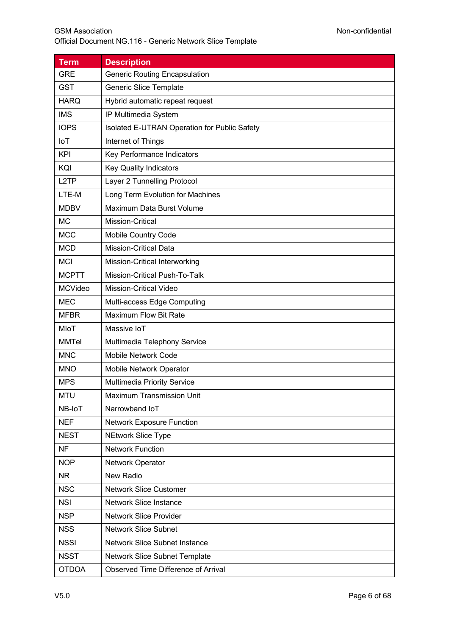| <b>Term</b>                                         | <b>Description</b>                           |  |
|-----------------------------------------------------|----------------------------------------------|--|
| <b>GRE</b>                                          | <b>Generic Routing Encapsulation</b>         |  |
| <b>GST</b>                                          | <b>Generic Slice Template</b>                |  |
| <b>HARQ</b><br>Hybrid automatic repeat request      |                                              |  |
| <b>IMS</b><br>IP Multimedia System                  |                                              |  |
| <b>IOPS</b>                                         | Isolated E-UTRAN Operation for Public Safety |  |
| IoT                                                 | Internet of Things                           |  |
| <b>KPI</b>                                          | Key Performance Indicators                   |  |
| KQI                                                 | <b>Key Quality Indicators</b>                |  |
| L <sub>2</sub> TP                                   | Layer 2 Tunnelling Protocol                  |  |
| LTE-M                                               | Long Term Evolution for Machines             |  |
| <b>MDBV</b>                                         | Maximum Data Burst Volume                    |  |
| <b>MC</b>                                           | Mission-Critical                             |  |
| <b>MCC</b>                                          | Mobile Country Code                          |  |
| <b>MCD</b>                                          | <b>Mission-Critical Data</b>                 |  |
| <b>MCI</b>                                          | Mission-Critical Interworking                |  |
| Mission-Critical Push-To-Talk<br><b>MCPTT</b>       |                                              |  |
| <b>MCVideo</b><br><b>Mission-Critical Video</b>     |                                              |  |
| <b>MEC</b><br>Multi-access Edge Computing           |                                              |  |
| <b>MFBR</b>                                         | <b>Maximum Flow Bit Rate</b>                 |  |
| MIoT                                                | Massive IoT                                  |  |
| <b>MMTel</b>                                        | Multimedia Telephony Service                 |  |
| <b>MNC</b>                                          | Mobile Network Code                          |  |
| <b>MNO</b>                                          | Mobile Network Operator                      |  |
| <b>MPS</b>                                          | Multimedia Priority Service                  |  |
| <b>MTU</b>                                          | <b>Maximum Transmission Unit</b>             |  |
| NB-IoT                                              | Narrowband IoT                               |  |
| <b>NEF</b>                                          | <b>Network Exposure Function</b>             |  |
| <b>NEST</b>                                         | <b>NEtwork Slice Type</b>                    |  |
| <b>NF</b>                                           | <b>Network Function</b>                      |  |
| <b>NOP</b>                                          | Network Operator                             |  |
| <b>NR</b>                                           | New Radio                                    |  |
| <b>NSC</b>                                          | <b>Network Slice Customer</b>                |  |
| <b>NSI</b>                                          | <b>Network Slice Instance</b>                |  |
| <b>NSP</b>                                          | <b>Network Slice Provider</b>                |  |
| <b>NSS</b><br><b>Network Slice Subnet</b>           |                                              |  |
| <b>NSSI</b><br><b>Network Slice Subnet Instance</b> |                                              |  |
| <b>NSST</b>                                         | Network Slice Subnet Template                |  |
| <b>OTDOA</b>                                        | Observed Time Difference of Arrival          |  |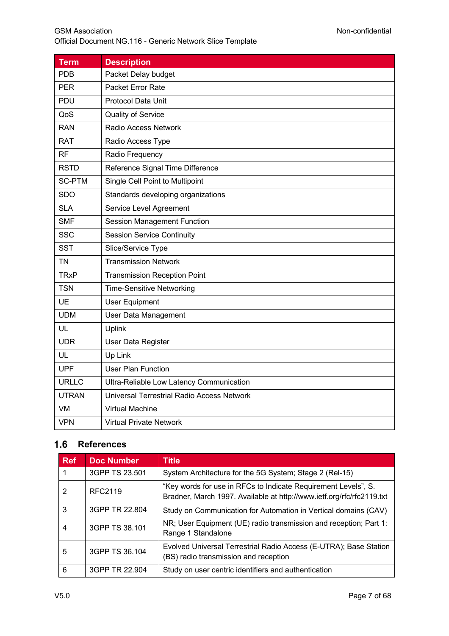| <b>Term</b>                                              | <b>Description</b>                         |  |
|----------------------------------------------------------|--------------------------------------------|--|
| <b>PDB</b>                                               | Packet Delay budget                        |  |
| <b>PER</b>                                               | Packet Error Rate                          |  |
| PDU<br>Protocol Data Unit                                |                                            |  |
| QoS                                                      | Quality of Service                         |  |
| <b>RAN</b>                                               | Radio Access Network                       |  |
| <b>RAT</b>                                               | Radio Access Type                          |  |
| <b>RF</b>                                                | Radio Frequency                            |  |
| <b>RSTD</b>                                              | Reference Signal Time Difference           |  |
| <b>SC-PTM</b>                                            | Single Cell Point to Multipoint            |  |
| <b>SDO</b>                                               | Standards developing organizations         |  |
| <b>SLA</b>                                               | Service Level Agreement                    |  |
| <b>SMF</b>                                               | <b>Session Management Function</b>         |  |
| <b>SSC</b>                                               | <b>Session Service Continuity</b>          |  |
| <b>SST</b>                                               | Slice/Service Type                         |  |
| <b>TN</b>                                                | <b>Transmission Network</b>                |  |
| <b>TRxP</b>                                              | <b>Transmission Reception Point</b>        |  |
| <b>TSN</b>                                               | <b>Time-Sensitive Networking</b>           |  |
| <b>UE</b>                                                | <b>User Equipment</b>                      |  |
| <b>UDM</b>                                               | User Data Management                       |  |
| UL                                                       | Uplink                                     |  |
| <b>UDR</b>                                               | User Data Register                         |  |
| UL                                                       | Up Link                                    |  |
| <b>UPF</b>                                               | <b>User Plan Function</b>                  |  |
| <b>URLLC</b><br>Ultra-Reliable Low Latency Communication |                                            |  |
| <b>UTRAN</b>                                             | Universal Terrestrial Radio Access Network |  |
| VM                                                       | <b>Virtual Machine</b>                     |  |
| <b>VPN</b>                                               | <b>Virtual Private Network</b>             |  |

## 1.6 References

| <b>Ref</b> | <b>Doc Number</b> | <b>Title</b>                                                                                                                            |
|------------|-------------------|-----------------------------------------------------------------------------------------------------------------------------------------|
|            | 3GPP TS 23.501    | System Architecture for the 5G System; Stage 2 (Rel-15)                                                                                 |
| 2          | RFC2119           | "Key words for use in RFCs to Indicate Requirement Levels", S.<br>Bradner, March 1997. Available at http://www.ietf.org/rfc/rfc2119.txt |
| 3          | 3GPP TR 22.804    | Study on Communication for Automation in Vertical domains (CAV)                                                                         |
| 4          | 3GPP TS 38.101    | NR; User Equipment (UE) radio transmission and reception; Part 1:<br>Range 1 Standalone                                                 |
| 5          | 3GPP TS 36,104    | Evolved Universal Terrestrial Radio Access (E-UTRA); Base Station<br>(BS) radio transmission and reception                              |
| 6          | 3GPP TR 22.904    | Study on user centric identifiers and authentication                                                                                    |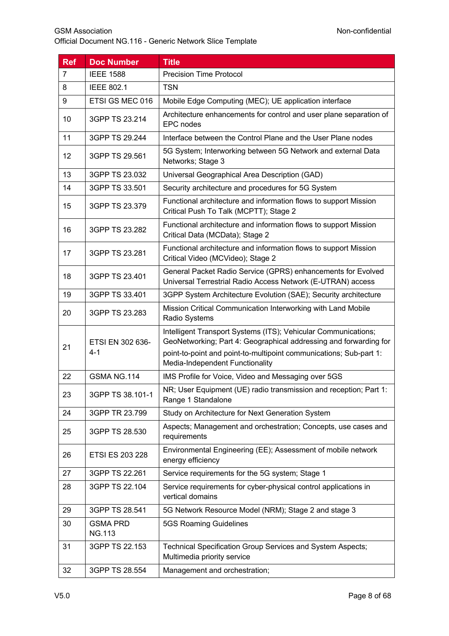| <b>Ref</b>     | <b>Doc Number</b>                | <b>Title</b>                                                                                                                                                                                                                                 |
|----------------|----------------------------------|----------------------------------------------------------------------------------------------------------------------------------------------------------------------------------------------------------------------------------------------|
| $\overline{7}$ | <b>IEEE 1588</b>                 | <b>Precision Time Protocol</b>                                                                                                                                                                                                               |
| 8              | <b>IEEE 802.1</b>                | <b>TSN</b>                                                                                                                                                                                                                                   |
| 9              | ETSI GS MEC 016                  | Mobile Edge Computing (MEC); UE application interface                                                                                                                                                                                        |
| 10             | 3GPP TS 23.214                   | Architecture enhancements for control and user plane separation of<br>EPC nodes                                                                                                                                                              |
| 11             | 3GPP TS 29.244                   | Interface between the Control Plane and the User Plane nodes                                                                                                                                                                                 |
| 12             | 3GPP TS 29.561                   | 5G System; Interworking between 5G Network and external Data<br>Networks; Stage 3                                                                                                                                                            |
| 13             | 3GPP TS 23.032                   | Universal Geographical Area Description (GAD)                                                                                                                                                                                                |
| 14             | 3GPP TS 33.501                   | Security architecture and procedures for 5G System                                                                                                                                                                                           |
| 15             | 3GPP TS 23.379                   | Functional architecture and information flows to support Mission<br>Critical Push To Talk (MCPTT); Stage 2                                                                                                                                   |
| 16             | 3GPP TS 23.282                   | Functional architecture and information flows to support Mission<br>Critical Data (MCData); Stage 2                                                                                                                                          |
| 17             | 3GPP TS 23.281                   | Functional architecture and information flows to support Mission<br>Critical Video (MCVideo); Stage 2                                                                                                                                        |
| 18             | 3GPP TS 23.401                   | General Packet Radio Service (GPRS) enhancements for Evolved<br>Universal Terrestrial Radio Access Network (E-UTRAN) access                                                                                                                  |
| 19             | 3GPP TS 33.401                   | 3GPP System Architecture Evolution (SAE); Security architecture                                                                                                                                                                              |
| 20             | 3GPP TS 23.283                   | Mission Critical Communication Interworking with Land Mobile<br>Radio Systems                                                                                                                                                                |
| 21             | ETSI EN 302 636-<br>$4 - 1$      | Intelligent Transport Systems (ITS); Vehicular Communications;<br>GeoNetworking; Part 4: Geographical addressing and forwarding for<br>point-to-point and point-to-multipoint communications; Sub-part 1:<br>Media-Independent Functionality |
| 22             | GSMA NG.114                      | IMS Profile for Voice, Video and Messaging over 5GS                                                                                                                                                                                          |
| 23             | 3GPP TS 38.101-1                 | NR; User Equipment (UE) radio transmission and reception; Part 1:<br>Range 1 Standalone                                                                                                                                                      |
| 24             | 3GPP TR 23.799                   | Study on Architecture for Next Generation System                                                                                                                                                                                             |
| 25             | 3GPP TS 28.530                   | Aspects; Management and orchestration; Concepts, use cases and<br>requirements                                                                                                                                                               |
| 26             | ETSI ES 203 228                  | Environmental Engineering (EE); Assessment of mobile network<br>energy efficiency                                                                                                                                                            |
| 27             | 3GPP TS 22.261                   | Service requirements for the 5G system; Stage 1                                                                                                                                                                                              |
| 28             | 3GPP TS 22.104                   | Service requirements for cyber-physical control applications in<br>vertical domains                                                                                                                                                          |
| 29             | 3GPP TS 28.541                   | 5G Network Resource Model (NRM); Stage 2 and stage 3                                                                                                                                                                                         |
| 30             | <b>GSMA PRD</b><br><b>NG.113</b> | 5GS Roaming Guidelines                                                                                                                                                                                                                       |
| 31             | 3GPP TS 22.153                   | Technical Specification Group Services and System Aspects;<br>Multimedia priority service                                                                                                                                                    |
| 32             | 3GPP TS 28.554                   | Management and orchestration;                                                                                                                                                                                                                |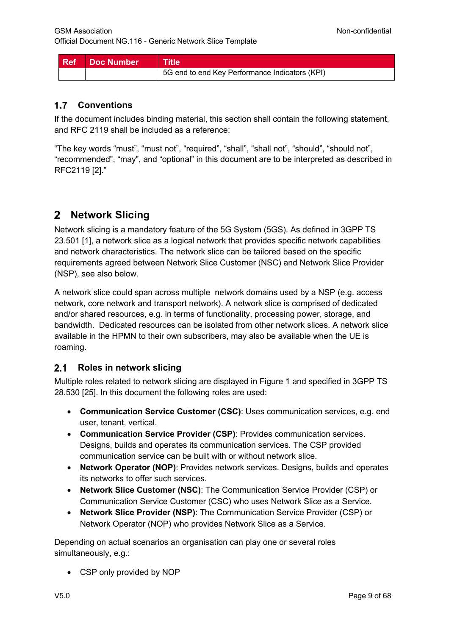| Ref Doc Number | ∣ Title                                        |
|----------------|------------------------------------------------|
|                | 5G end to end Key Performance Indicators (KPI) |

## **Conventions**

If the document includes binding material, this section shall contain the following statement, and RFC 2119 shall be included as a reference:

"The key words "must", "must not", "required", "shall", "shall not", "should", "should not", "recommended", "may", and "optional" in this document are to be interpreted as described in RFC2119 [2]."

# **Network Slicing**

Network slicing is a mandatory feature of the 5G System (5GS). As defined in 3GPP TS 23.501 [1], a network slice as a logical network that provides specific network capabilities and network characteristics. The network slice can be tailored based on the specific requirements agreed between Network Slice Customer (NSC) and Network Slice Provider (NSP), see also below.

A network slice could span across multiple network domains used by a NSP (e.g. access network, core network and transport network). A network slice is comprised of dedicated and/or shared resources, e.g. in terms of functionality, processing power, storage, and bandwidth. Dedicated resources can be isolated from other network slices. A network slice available in the HPMN to their own subscribers, may also be available when the UE is roaming.

#### $2.1$ **Roles in network slicing**

Multiple roles related to network slicing are displayed in Figure 1 and specified in 3GPP TS 28.530 [25]. In this document the following roles are used:

- **Communication Service Customer (CSC)**: Uses communication services, e.g. end user, tenant, vertical.
- **Communication Service Provider (CSP)**: Provides communication services. Designs, builds and operates its communication services. The CSP provided communication service can be built with or without network slice.
- **Network Operator (NOP)**: Provides network services. Designs, builds and operates its networks to offer such services.
- **Network Slice Customer (NSC)**: The Communication Service Provider (CSP) or Communication Service Customer (CSC) who uses Network Slice as a Service.
- **Network Slice Provider (NSP)**: The Communication Service Provider (CSP) or Network Operator (NOP) who provides Network Slice as a Service.

Depending on actual scenarios an organisation can play one or several roles simultaneously, e.g.:

• CSP only provided by NOP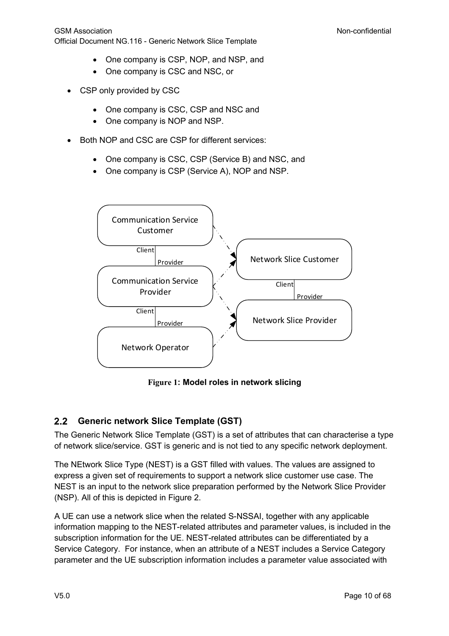- One company is CSP, NOP, and NSP, and
- One company is CSC and NSC, or
- CSP only provided by CSC
	- One company is CSC, CSP and NSC and
	- One company is NOP and NSP.
- Both NOP and CSC are CSP for different services:
	- One company is CSC, CSP (Service B) and NSC, and
	- One company is CSP (Service A), NOP and NSP.



**Figure 1: Model roles in network slicing**

#### $2.2$ **Generic network Slice Template (GST)**

The Generic Network Slice Template (GST) is a set of attributes that can characterise a type of network slice/service. GST is generic and is not tied to any specific network deployment.

The NEtwork Slice Type (NEST) is a GST filled with values. The values are assigned to express a given set of requirements to support a network slice customer use case. The NEST is an input to the network slice preparation performed by the Network Slice Provider (NSP). All of this is depicted in Figure 2.

A UE can use a network slice when the related S-NSSAI, together with any applicable information mapping to the NEST-related attributes and parameter values, is included in the subscription information for the UE. NEST-related attributes can be differentiated by a Service Category. For instance, when an attribute of a NEST includes a Service Category parameter and the UE subscription information includes a parameter value associated with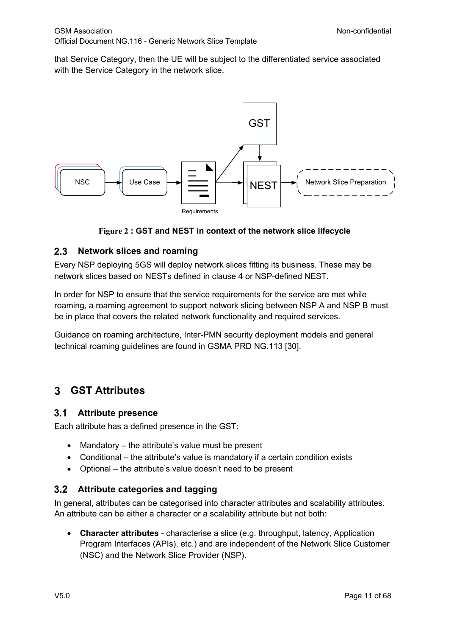that Service Category, then the UE will be subject to the differentiated service associated with the Service Category in the network slice.



## **Figure 2 : GST and NEST in context of the network slice lifecycle**

#### $2.3$ **Network slices and roaming**

Every NSP deploying 5GS will deploy network slices fitting its business. These may be network slices based on NESTs defined in clause 4 or NSP-defined NEST.

In order for NSP to ensure that the service requirements for the service are met while roaming, a roaming agreement to support network slicing between NSP A and NSP B must be in place that covers the related network functionality and required services.

Guidance on roaming architecture, Inter-PMN security deployment models and general technical roaming guidelines are found in GSMA PRD NG.113 [30].

#### **GST Attributes** 3

#### $3.1$ **Attribute presence**

Each attribute has a defined presence in the GST:

- Mandatory the attribute's value must be present
- Conditional the attribute's value is mandatory if a certain condition exists
- Optional the attribute's value doesn't need to be present

#### $3.2$ **Attribute categories and tagging**

In general, attributes can be categorised into character attributes and scalability attributes. An attribute can be either a character or a scalability attribute but not both:

• **Character attributes** - characterise a slice (e.g. throughput, latency, Application Program Interfaces (APIs), etc.) and are independent of the Network Slice Customer (NSC) and the Network Slice Provider (NSP).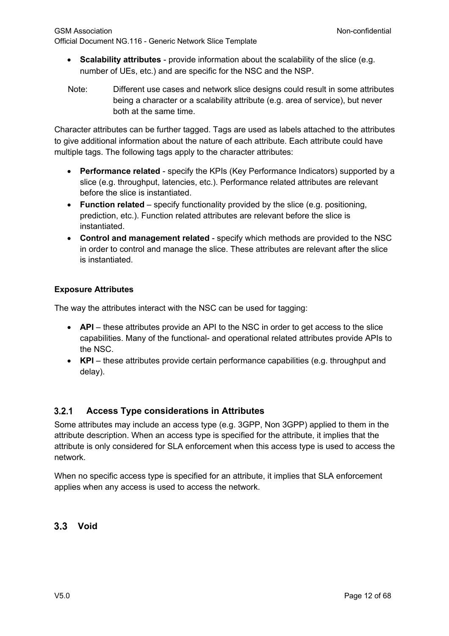- **Scalability attributes** provide information about the scalability of the slice (e.g. number of UEs, etc.) and are specific for the NSC and the NSP.
- Note: Different use cases and network slice designs could result in some attributes being a character or a scalability attribute (e.g. area of service), but never both at the same time.

Character attributes can be further tagged. Tags are used as labels attached to the attributes to give additional information about the nature of each attribute. Each attribute could have multiple tags. The following tags apply to the character attributes:

- **Performance related** specify the KPIs (Key Performance Indicators) supported by a slice (e.g. throughput, latencies, etc.). Performance related attributes are relevant before the slice is instantiated.
- **Function related** specify functionality provided by the slice (e.g. positioning, prediction, etc.). Function related attributes are relevant before the slice is instantiated.
- **Control and management related** specify which methods are provided to the NSC in order to control and manage the slice. These attributes are relevant after the slice is instantiated.

## **Exposure Attributes**

The way the attributes interact with the NSC can be used for tagging:

- **API** these attributes provide an API to the NSC in order to get access to the slice capabilities. Many of the functional- and operational related attributes provide APIs to the NSC.
- **KPI** these attributes provide certain performance capabilities (e.g. throughput and delay).

#### $3.2.1$ **Access Type considerations in Attributes**

Some attributes may include an access type (e.g. 3GPP, Non 3GPP) applied to them in the attribute description. When an access type is specified for the attribute, it implies that the attribute is only considered for SLA enforcement when this access type is used to access the network.

When no specific access type is specified for an attribute, it implies that SLA enforcement applies when any access is used to access the network.

## **Void**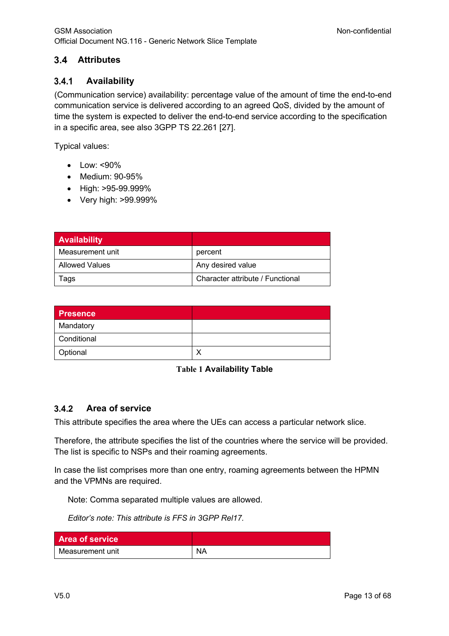#### $3.4$ **Attributes**

#### $3.4.1$ **Availability**

(Communication service) availability: percentage value of the amount of time the end-to-end communication service is delivered according to an agreed QoS, divided by the amount of time the system is expected to deliver the end-to-end service according to the specification in a specific area, see also 3GPP TS 22.261 [27].

Typical values:

- Low: <90%
- Medium: 90-95%
- High: >95-99.999%
- Very high: >99.999%

| <b>Availability</b>   |                                  |
|-----------------------|----------------------------------|
| Measurement unit      | percent                          |
| <b>Allowed Values</b> | Any desired value                |
| Tags                  | Character attribute / Functional |

| <b>Presence</b> |  |
|-----------------|--|
| Mandatory       |  |
| Conditional     |  |
| Optional        |  |

### **Table 1 Availability Table**

#### $3.4.2$ **Area of service**

This attribute specifies the area where the UEs can access a particular network slice.

Therefore, the attribute specifies the list of the countries where the service will be provided. The list is specific to NSPs and their roaming agreements.

In case the list comprises more than one entry, roaming agreements between the HPMN and the VPMNs are required.

Note: Comma separated multiple values are allowed.

*Editor's note: This attribute is FFS in 3GPP Rel17.*

| <b>Area of service</b> |           |
|------------------------|-----------|
| Measurement unit       | <b>NA</b> |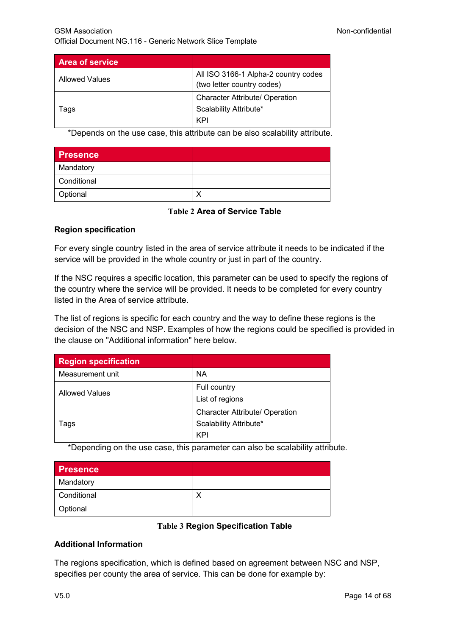| <b>Area of service</b> |                                                                    |
|------------------------|--------------------------------------------------------------------|
| <b>Allowed Values</b>  | All ISO 3166-1 Alpha-2 country codes<br>(two letter country codes) |
|                        | <b>Character Attribute/ Operation</b>                              |
| Tags                   | Scalability Attribute*                                             |
|                        | KPI                                                                |

\*Depends on the use case, this attribute can be also scalability attribute.

| <b>Presence</b> |  |
|-----------------|--|
| Mandatory       |  |
| Conditional     |  |
| Optional        |  |

### **Table 2 Area of Service Table**

### **Region specification**

For every single country listed in the area of service attribute it needs to be indicated if the service will be provided in the whole country or just in part of the country.

If the NSC requires a specific location, this parameter can be used to specify the regions of the country where the service will be provided. It needs to be completed for every country listed in the Area of service attribute.

The list of regions is specific for each country and the way to define these regions is the decision of the NSC and NSP. Examples of how the regions could be specified is provided in the clause on "Additional information" here below.

| <b>Region specification</b> |                                       |
|-----------------------------|---------------------------------------|
| Measurement unit            | ΝA                                    |
| <b>Allowed Values</b>       | Full country                          |
|                             | List of regions                       |
| Tags                        | <b>Character Attribute/ Operation</b> |
|                             | Scalability Attribute*                |
|                             | KPI                                   |

\*Depending on the use case, this parameter can also be scalability attribute.

| <b>Presence</b> |  |
|-----------------|--|
| Mandatory       |  |
| Conditional     |  |
| Optional        |  |

### **Table 3 Region Specification Table**

### **Additional Information**

The regions specification, which is defined based on agreement between NSC and NSP, specifies per county the area of service. This can be done for example by: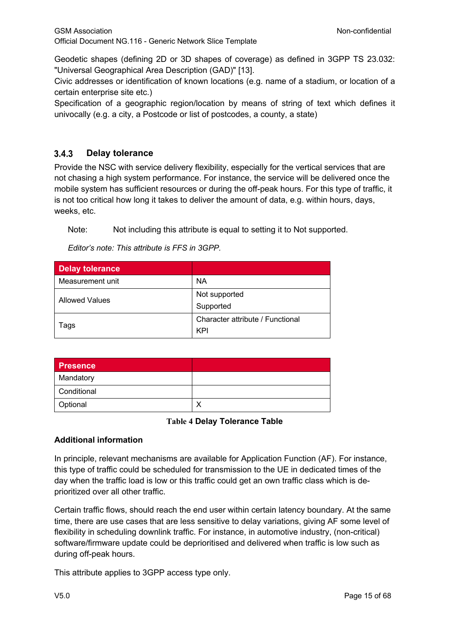Geodetic shapes (defining 2D or 3D shapes of coverage) as defined in 3GPP TS 23.032: "Universal Geographical Area Description (GAD)" [13].

Civic addresses or identification of known locations (e.g. name of a stadium, or location of a certain enterprise site etc.)

Specification of a geographic region/location by means of string of text which defines it univocally (e.g. a city, a Postcode or list of postcodes, a county, a state)

#### $3.4.3$ **Delay tolerance**

Provide the NSC with service delivery flexibility, especially for the vertical services that are not chasing a high system performance. For instance, the service will be delivered once the mobile system has sufficient resources or during the off-peak hours. For this type of traffic, it is not too critical how long it takes to deliver the amount of data, e.g. within hours, days, weeks, etc.

Note: Not including this attribute is equal to setting it to Not supported.

*Editor's note: This attribute is FFS in 3GPP.*

| <b>Delay tolerance</b> |                                  |
|------------------------|----------------------------------|
| Measurement unit       | <b>NA</b>                        |
| <b>Allowed Values</b>  | Not supported                    |
|                        | Supported                        |
| Tags                   | Character attribute / Functional |
|                        | KPI                              |

| <b>Presence</b> |  |
|-----------------|--|
| Mandatory       |  |
| Conditional     |  |
| Optional        |  |

### **Table 4 Delay Tolerance Table**

## **Additional information**

In principle, relevant mechanisms are available for Application Function (AF). For instance, this type of traffic could be scheduled for transmission to the UE in dedicated times of the day when the traffic load is low or this traffic could get an own traffic class which is deprioritized over all other traffic.

Certain traffic flows, should reach the end user within certain latency boundary. At the same time, there are use cases that are less sensitive to delay variations, giving AF some level of flexibility in scheduling downlink traffic. For instance, in automotive industry, (non-critical) software/firmware update could be deprioritised and delivered when traffic is low such as during off-peak hours.

This attribute applies to 3GPP access type only.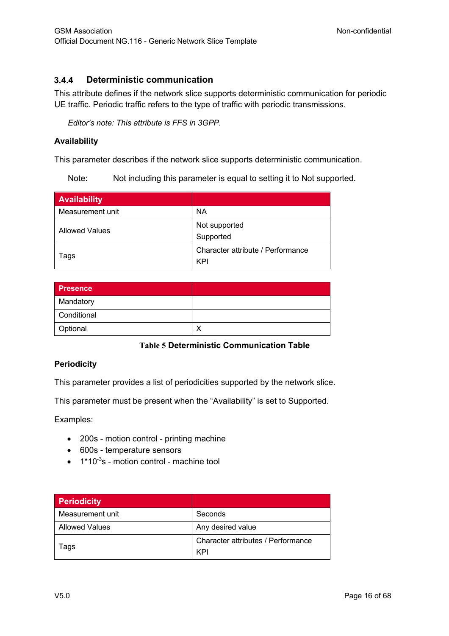#### $3.4.4$ **Deterministic communication**

This attribute defines if the network slice supports deterministic communication for periodic UE traffic. Periodic traffic refers to the type of traffic with periodic transmissions.

*Editor's note: This attribute is FFS in 3GPP.*

### **Availability**

This parameter describes if the network slice supports deterministic communication.

Note: Not including this parameter is equal to setting it to Not supported.

| <b>Availability</b>   |                                          |
|-----------------------|------------------------------------------|
| Measurement unit      | <b>NA</b>                                |
| <b>Allowed Values</b> | Not supported<br>Supported               |
| Tags                  | Character attribute / Performance<br>KPI |

| <b>Presence</b> |  |
|-----------------|--|
| Mandatory       |  |
| Conditional     |  |
| Optional        |  |

### **Table 5 Deterministic Communication Table**

### **Periodicity**

This parameter provides a list of periodicities supported by the network slice.

This parameter must be present when the "Availability" is set to Supported.

Examples:

- 200s motion control printing machine
- 600s temperature sensors
- $\bullet$  1\*10<sup>-3</sup>s motion control machine tool

| <b>Periodicity</b>    |                                    |
|-----------------------|------------------------------------|
| Measurement unit      | Seconds                            |
| <b>Allowed Values</b> | Any desired value                  |
| Tags                  | Character attributes / Performance |
|                       | KPI                                |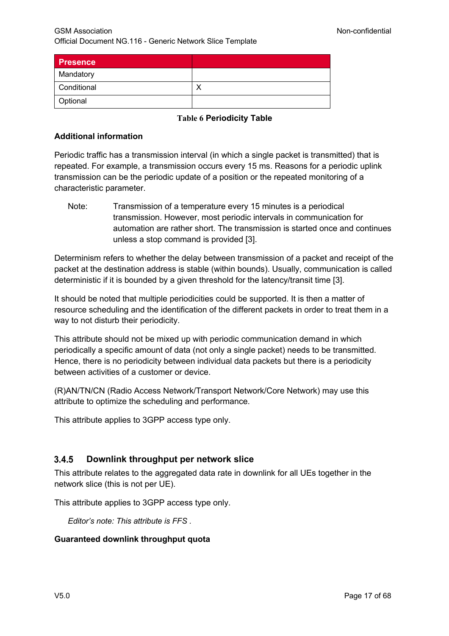| <b>Presence</b> |  |
|-----------------|--|
| Mandatory       |  |
| Conditional     |  |
| Optional        |  |

**Table 6 Periodicity Table**

### **Additional information**

Periodic traffic has a transmission interval (in which a single packet is transmitted) that is repeated. For example, a transmission occurs every 15 ms. Reasons for a periodic uplink transmission can be the periodic update of a position or the repeated monitoring of a characteristic parameter.

Note: Transmission of a temperature every 15 minutes is a periodical transmission. However, most periodic intervals in communication for automation are rather short. The transmission is started once and continues unless a stop command is provided [3].

Determinism refers to whether the delay between transmission of a packet and receipt of the packet at the destination address is stable (within bounds). Usually, communication is called deterministic if it is bounded by a given threshold for the latency/transit time [3].

It should be noted that multiple periodicities could be supported. It is then a matter of resource scheduling and the identification of the different packets in order to treat them in a way to not disturb their periodicity.

This attribute should not be mixed up with periodic communication demand in which periodically a specific amount of data (not only a single packet) needs to be transmitted. Hence, there is no periodicity between individual data packets but there is a periodicity between activities of a customer or device.

(R)AN/TN/CN (Radio Access Network/Transport Network/Core Network) may use this attribute to optimize the scheduling and performance.

This attribute applies to 3GPP access type only.

#### $3.4.5$ **Downlink throughput per network slice**

This attribute relates to the aggregated data rate in downlink for all UEs together in the network slice (this is not per UE).

This attribute applies to 3GPP access type only.

*Editor's note: This attribute is FFS .*

#### **Guaranteed downlink throughput quota**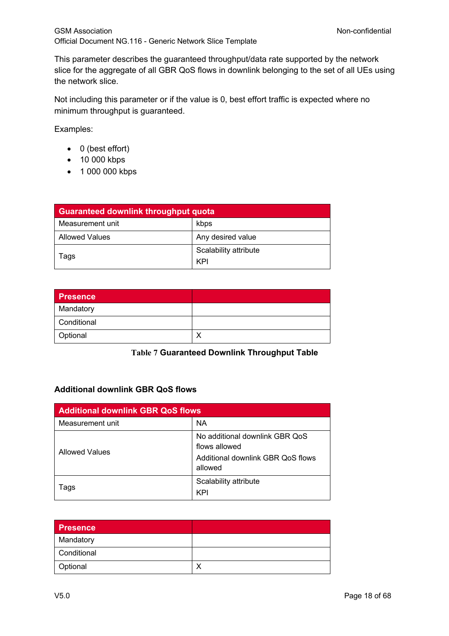This parameter describes the guaranteed throughput/data rate supported by the network slice for the aggregate of all GBR QoS flows in downlink belonging to the set of all UEs using the network slice.

Not including this parameter or if the value is 0, best effort traffic is expected where no minimum throughput is guaranteed.

Examples:

- 0 (best effort)
- 10 000 kbps
- 1 000 000 kbps

| <b>Guaranteed downlink throughput quota</b> |                              |
|---------------------------------------------|------------------------------|
| Measurement unit                            | kbps                         |
| <b>Allowed Values</b>                       | Any desired value            |
| Tags                                        | Scalability attribute<br>KPI |

| <b>Presence</b> |   |
|-----------------|---|
| Mandatory       |   |
| Conditional     |   |
| Optional        | x |

### **Table 7 Guaranteed Downlink Throughput Table**

### **Additional downlink GBR QoS flows**

| <b>Additional downlink GBR QoS flows</b> |                                                                                                 |
|------------------------------------------|-------------------------------------------------------------------------------------------------|
| Measurement unit                         | <b>NA</b>                                                                                       |
| Allowed Values                           | No additional downlink GBR QoS<br>flows allowed<br>Additional downlink GBR QoS flows<br>allowed |
| Tags                                     | Scalability attribute<br>KPI                                                                    |

| <b>Presence</b> |  |
|-----------------|--|
| Mandatory       |  |
| Conditional     |  |
| Optional        |  |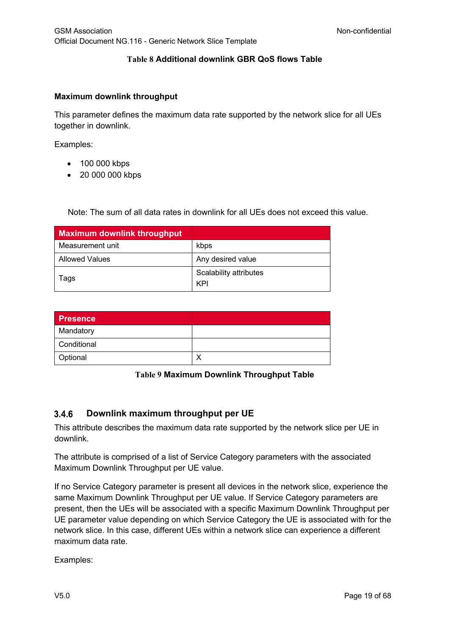## **Table 8 Additional downlink GBR QoS flows Table**

#### **Maximum downlink throughput**

This parameter defines the maximum data rate supported by the network slice for all UEs together in downlink.

Examples:

- 100 000 kbps
- 20 000 000 kbps

Note: The sum of all data rates in downlink for all UEs does not exceed this value.

| <b>Maximum downlink throughput</b> |                        |
|------------------------------------|------------------------|
| Measurement unit                   | kbps                   |
| <b>Allowed Values</b>              | Any desired value      |
| Tags                               | Scalability attributes |
|                                    | KPI                    |

| <b>Presence</b> |  |
|-----------------|--|
| Mandatory       |  |
| Conditional     |  |
| Optional        |  |

#### **Table 9 Maximum Downlink Throughput Table**

#### $3.4.6$ **Downlink maximum throughput per UE**

This attribute describes the maximum data rate supported by the network slice per UE in downlink.

The attribute is comprised of a list of Service Category parameters with the associated Maximum Downlink Throughput per UE value.

If no Service Category parameter is present all devices in the network slice, experience the same Maximum Downlink Throughput per UE value. If Service Category parameters are present, then the UEs will be associated with a specific Maximum Downlink Throughput per UE parameter value depending on which Service Category the UE is associated with for the network slice. In this case, different UEs within a network slice can experience a different maximum data rate.

Examples: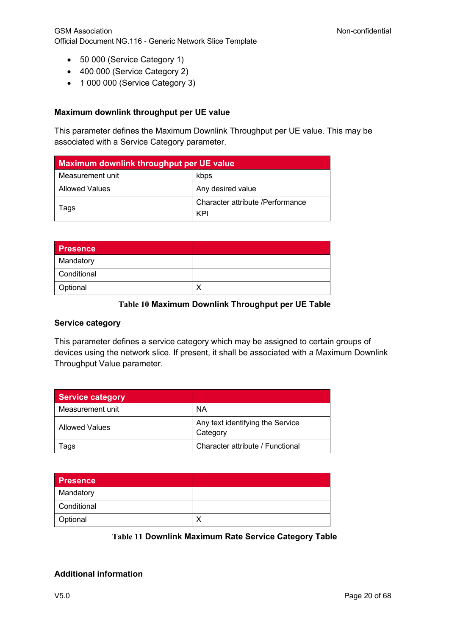- 50 000 (Service Category 1)
- 400 000 (Service Category 2)
- 1 000 000 (Service Category 3)

### **Maximum downlink throughput per UE value**

This parameter defines the Maximum Downlink Throughput per UE value. This may be associated with a Service Category parameter.

| Maximum downlink throughput per UE value |                                         |
|------------------------------------------|-----------------------------------------|
| Measurement unit                         | kbps                                    |
| Allowed Values                           | Any desired value                       |
| laqs                                     | Character attribute /Performance<br>KPI |

| <b>Presence</b> |  |
|-----------------|--|
| Mandatory       |  |
| Conditional     |  |
| Optional        |  |

### **Table 10 Maximum Downlink Throughput per UE Table**

### **Service category**

This parameter defines a service category which may be assigned to certain groups of devices using the network slice. If present, it shall be associated with a Maximum Downlink Throughput Value parameter.

| <b>Service category</b> |                                              |
|-------------------------|----------------------------------------------|
| Measurement unit        | NA                                           |
| Allowed Values          | Any text identifying the Service<br>Category |
| Гаqѕ                    | Character attribute / Functional             |

| <b>Presence</b> |  |
|-----------------|--|
| Mandatory       |  |
| Conditional     |  |
| Optional        |  |

### **Table 11 Downlink Maximum Rate Service Category Table**

### **Additional information**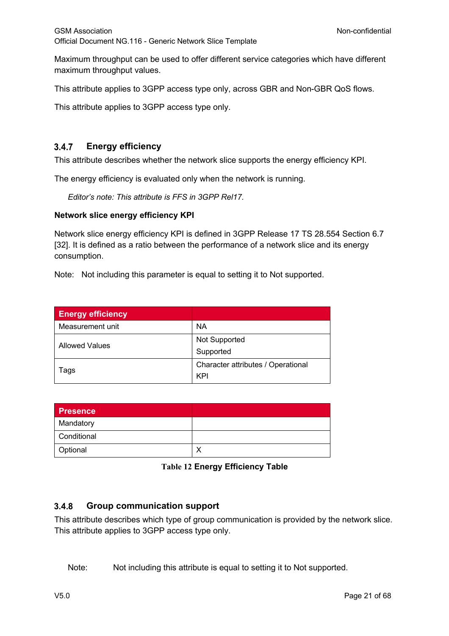Maximum throughput can be used to offer different service categories which have different maximum throughput values.

This attribute applies to 3GPP access type only, across GBR and Non-GBR QoS flows.

This attribute applies to 3GPP access type only.

#### **Energy efficiency**  $3.4.7$

This attribute describes whether the network slice supports the energy efficiency KPI.

The energy efficiency is evaluated only when the network is running.

*Editor's note: This attribute is FFS in 3GPP Rel17.*

#### **Network slice energy efficiency KPI**

Network slice energy efficiency KPI is defined in 3GPP Release 17 TS 28.554 Section 6.7 [32]. It is defined as a ratio between the performance of a network slice and its energy consumption.

Note: Not including this parameter is equal to setting it to Not supported.

| <b>Energy efficiency</b> |                                    |
|--------------------------|------------------------------------|
| Measurement unit         | <b>NA</b>                          |
| <b>Allowed Values</b>    | Not Supported                      |
|                          | Supported                          |
| lags                     | Character attributes / Operational |
|                          | KPI                                |

| Presence    |  |
|-------------|--|
| Mandatory   |  |
| Conditional |  |
| Optional    |  |

**Table 12 Energy Efficiency Table**

#### $3.4.8$ **Group communication support**

This attribute describes which type of group communication is provided by the network slice. This attribute applies to 3GPP access type only.

Note: Not including this attribute is equal to setting it to Not supported.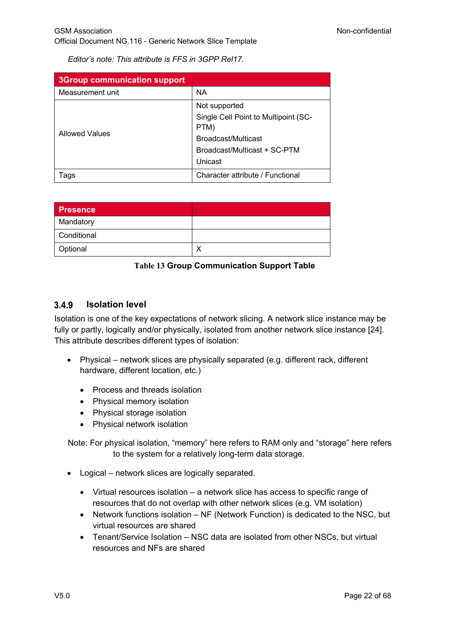*Editor's note: This attribute is FFS in 3GPP Rel17.*

| <b>3Group communication support</b> |                                              |
|-------------------------------------|----------------------------------------------|
| Measurement unit                    | <b>NA</b>                                    |
| <b>Allowed Values</b>               | Not supported                                |
|                                     | Single Cell Point to Multipoint (SC-<br>PTM) |
|                                     | Broadcast/Multicast                          |
|                                     | Broadcast/Multicast + SC-PTM                 |
|                                     | Unicast                                      |
| Tags                                | Character attribute / Functional             |

| <b>Presence</b> |  |
|-----------------|--|
| Mandatory       |  |
| Conditional     |  |
| Optional        |  |

**Table 13 Group Communication Support Table**

#### $3.4.9$ **Isolation level**

Isolation is one of the key expectations of network slicing. A network slice instance may be fully or partly, logically and/or physically, isolated from another network slice instance [24]. This attribute describes different types of isolation:

- Physical network slices are physically separated (e.g. different rack, different hardware, different location, etc.)
	- Process and threads isolation
	- Physical memory isolation
	- Physical storage isolation
	- Physical network isolation

Note: For physical isolation, "memory" here refers to RAM only and "storage" here refers to the system for a relatively long-term data storage.

- Logical network slices are logically separated.
	- Virtual resources isolation a network slice has access to specific range of resources that do not overlap with other network slices (e.g. VM isolation)
	- Network functions isolation NF (Network Function) is dedicated to the NSC, but virtual resources are shared
	- Tenant/Service Isolation NSC data are isolated from other NSCs, but virtual resources and NFs are shared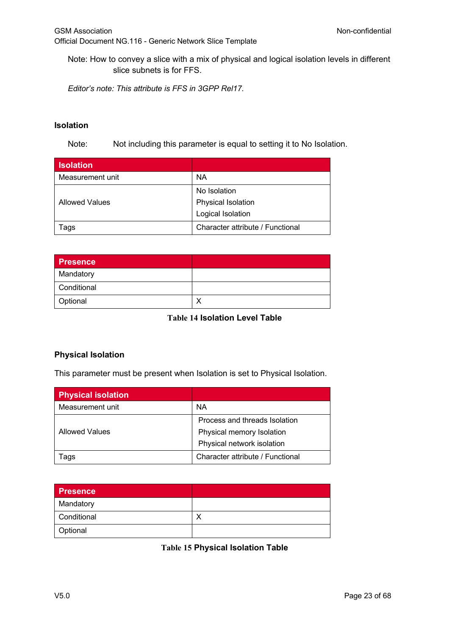Note: How to convey a slice with a mix of physical and logical isolation levels in different slice subnets is for FFS.

*Editor's note: This attribute is FFS in 3GPP Rel17.*

#### **Isolation**

Note: Not including this parameter is equal to setting it to No Isolation.

| <b>Isolation</b>      |                                  |
|-----------------------|----------------------------------|
| Measurement unit      | <b>NA</b>                        |
| <b>Allowed Values</b> | No Isolation                     |
|                       | Physical Isolation               |
|                       | Logical Isolation                |
| Tags                  | Character attribute / Functional |

| <b>Presence</b> |  |
|-----------------|--|
| Mandatory       |  |
| Conditional     |  |
| Optional        |  |

## **Table 14 Isolation Level Table**

### **Physical Isolation**

This parameter must be present when Isolation is set to Physical Isolation.

| <b>Physical isolation</b> |                                  |
|---------------------------|----------------------------------|
| Measurement unit          | ΝA                               |
| <b>Allowed Values</b>     | Process and threads Isolation    |
|                           | Physical memory Isolation        |
|                           | Physical network isolation       |
| ags                       | Character attribute / Functional |

| Presence    |  |
|-------------|--|
| Mandatory   |  |
| Conditional |  |
| Optional    |  |

**Table 15 Physical Isolation Table**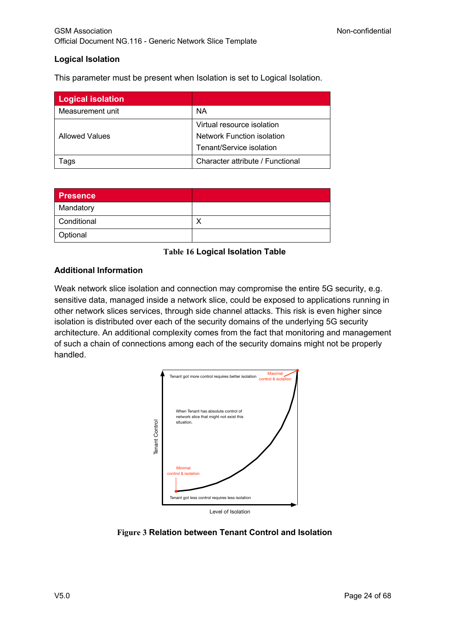### **Logical Isolation**

This parameter must be present when Isolation is set to Logical Isolation.

| <b>Logical isolation</b> |                                   |
|--------------------------|-----------------------------------|
| Measurement unit         | ΝA                                |
|                          | Virtual resource isolation        |
| <b>Allowed Values</b>    | <b>Network Function isolation</b> |
|                          | Tenant/Service isolation          |
| ⊺ags                     | Character attribute / Functional  |

| <b>Presence</b> |  |
|-----------------|--|
| Mandatory       |  |
| Conditional     |  |
| Optional        |  |

### **Table 16 Logical Isolation Table**

### **Additional Information**

Weak network slice isolation and connection may compromise the entire 5G security, e.g. sensitive data, managed inside a network slice, could be exposed to applications running in other network slices services, through side channel attacks. This risk is even higher since isolation is distributed over each of the security domains of the underlying 5G security architecture. An additional complexity comes from the fact that monitoring and management of such a chain of connections among each of the security domains might not be properly handled.



**Figure 3 Relation between Tenant Control and Isolation**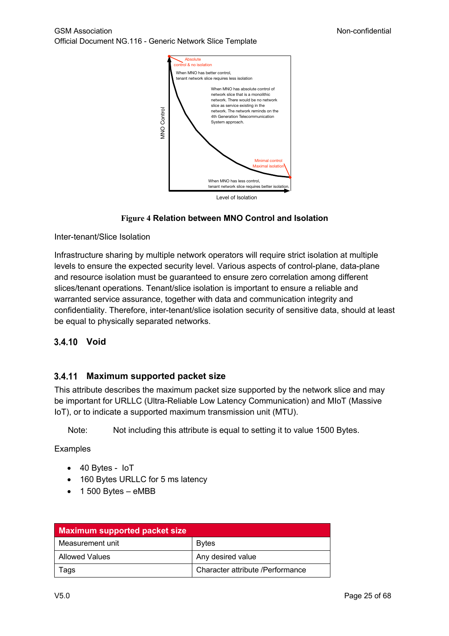GSM Association **Non-confidential** Official Document NG.116 - Generic Network Slice Template



### **Figure 4 Relation between MNO Control and Isolation**

Inter-tenant/Slice Isolation

Infrastructure sharing by multiple network operators will require strict isolation at multiple levels to ensure the expected security level. Various aspects of control-plane, data-plane and resource isolation must be guaranteed to ensure zero correlation among different slices/tenant operations. Tenant/slice isolation is important to ensure a reliable and warranted service assurance, together with data and communication integrity and confidentiality. Therefore, inter-tenant/slice isolation security of sensitive data, should at least be equal to physically separated networks.

### **Void**

### **Maximum supported packet size**

This attribute describes the maximum packet size supported by the network slice and may be important for URLLC (Ultra-Reliable Low Latency Communication) and MIoT (Massive IoT), or to indicate a supported maximum transmission unit (MTU).

Note: Not including this attribute is equal to setting it to value 1500 Bytes.

Examples

- 40 Bytes IoT
- 160 Bytes URLLC for 5 ms latency
- 1 500 Bytes eMBB

| <b>Maximum supported packet size</b> |                                  |
|--------------------------------------|----------------------------------|
| Measurement unit                     | <b>Bytes</b>                     |
| l Allowed Values                     | Any desired value                |
| Tags                                 | Character attribute /Performance |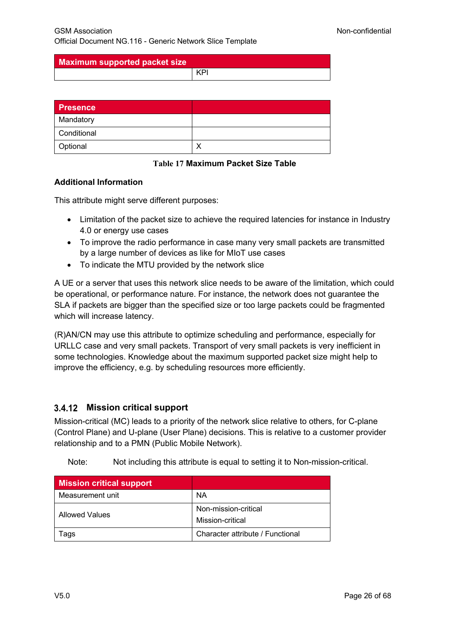**Maximum supported packet size**

KPI

| Presence    |  |
|-------------|--|
| Mandatory   |  |
| Conditional |  |
| Optional    |  |

**Table 17 Maximum Packet Size Table**

### **Additional Information**

This attribute might serve different purposes:

- Limitation of the packet size to achieve the required latencies for instance in Industry 4.0 or energy use cases
- To improve the radio performance in case many very small packets are transmitted by a large number of devices as like for MIoT use cases
- To indicate the MTU provided by the network slice

A UE or a server that uses this network slice needs to be aware of the limitation, which could be operational, or performance nature. For instance, the network does not guarantee the SLA if packets are bigger than the specified size or too large packets could be fragmented which will increase latency.

(R)AN/CN may use this attribute to optimize scheduling and performance, especially for URLLC case and very small packets. Transport of very small packets is very inefficient in some technologies. Knowledge about the maximum supported packet size might help to improve the efficiency, e.g. by scheduling resources more efficiently.

## **Mission critical support**

Mission-critical (MC) leads to a priority of the network slice relative to others, for C-plane (Control Plane) and U-plane (User Plane) decisions. This is relative to a customer provider relationship and to a PMN (Public Mobile Network).

Note: Not including this attribute is equal to setting it to Non-mission-critical.

| <b>Mission critical support</b> |                                          |
|---------------------------------|------------------------------------------|
| Measurement unit                | NA                                       |
| Allowed Values                  | Non-mission-critical<br>Mission-critical |
| l ags                           | Character attribute / Functional         |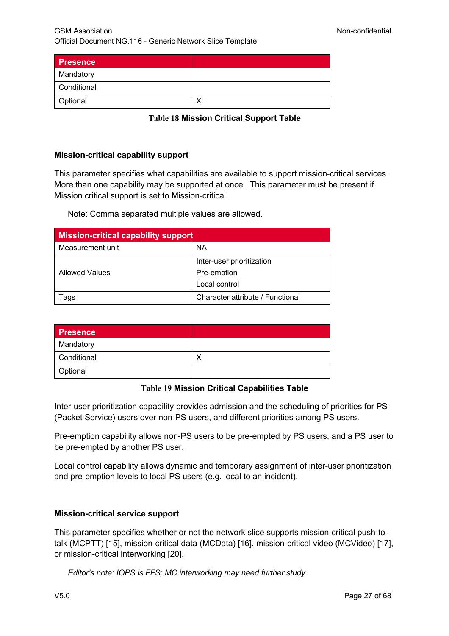| <b>Presence</b> |  |
|-----------------|--|
| Mandatory       |  |
| Conditional     |  |
| Optional        |  |

**Table 18 Mission Critical Support Table**

#### **Mission-critical capability support**

This parameter specifies what capabilities are available to support mission-critical services. More than one capability may be supported at once. This parameter must be present if Mission critical support is set to Mission-critical.

Note: Comma separated multiple values are allowed.

| <b>Mission-critical capability support</b> |                                  |
|--------------------------------------------|----------------------------------|
| Measurement unit                           | NA                               |
| <b>Allowed Values</b>                      | Inter-user prioritization        |
|                                            | Pre-emption                      |
|                                            | Local control                    |
| Tags                                       | Character attribute / Functional |

| <b>Presence</b> |  |
|-----------------|--|
| Mandatory       |  |
| Conditional     |  |
| Optional        |  |

### **Table 19 Mission Critical Capabilities Table**

Inter-user prioritization capability provides admission and the scheduling of priorities for PS (Packet Service) users over non-PS users, and different priorities among PS users.

Pre-emption capability allows non-PS users to be pre-empted by PS users, and a PS user to be pre-empted by another PS user.

Local control capability allows dynamic and temporary assignment of inter-user prioritization and pre-emption levels to local PS users (e.g. local to an incident).

### **Mission-critical service support**

This parameter specifies whether or not the network slice supports mission-critical push-totalk (MCPTT) [15], mission-critical data (MCData) [16], mission-critical video (MCVideo) [17], or mission-critical interworking [20].

*Editor's note: IOPS is FFS; MC interworking may need further study.*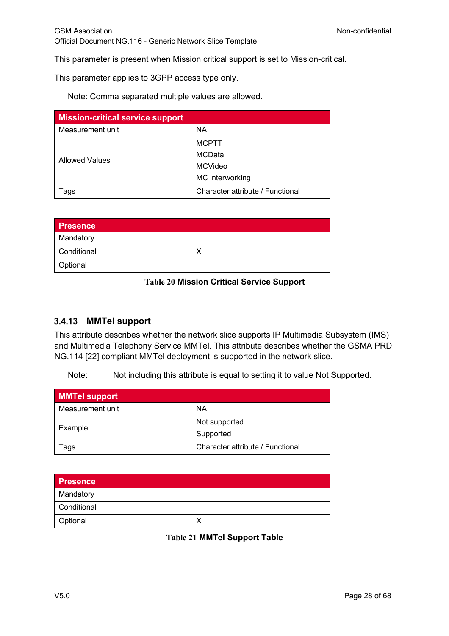This parameter is present when Mission critical support is set to Mission-critical.

This parameter applies to 3GPP access type only.

Note: Comma separated multiple values are allowed.

| <b>Mission-critical service support</b> |                                  |
|-----------------------------------------|----------------------------------|
| Measurement unit                        | ΝA                               |
| <b>Allowed Values</b>                   | <b>MCPTT</b>                     |
|                                         | MCData                           |
|                                         | MCVideo                          |
|                                         | MC interworking                  |
| ags                                     | Character attribute / Functional |

| <b>Presence</b> |  |
|-----------------|--|
| Mandatory       |  |
| Conditional     |  |
| Optional        |  |

#### **Table 20 Mission Critical Service Support**

### **MMTel support**

This attribute describes whether the network slice supports IP Multimedia Subsystem (IMS) and Multimedia Telephony Service MMTel. This attribute describes whether the GSMA PRD NG.114 [22] compliant MMTel deployment is supported in the network slice.

Note: Not including this attribute is equal to setting it to value Not Supported.

| <b>MMTel support</b> |                                  |
|----------------------|----------------------------------|
| Measurement unit     | <b>NA</b>                        |
| Example              | Not supported                    |
|                      | Supported                        |
| ⊺ags                 | Character attribute / Functional |

| <b>Presence</b> |  |
|-----------------|--|
| Mandatory       |  |
| Conditional     |  |
| Optional        |  |

**Table 21 MMTel Support Table**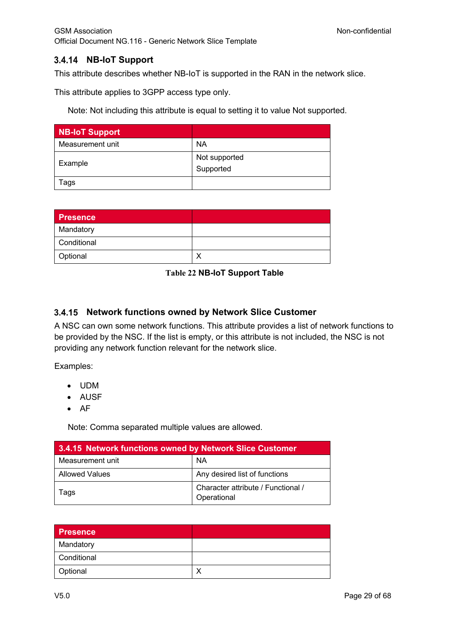## **NB-IoT Support**

This attribute describes whether NB-IoT is supported in the RAN in the network slice.

This attribute applies to 3GPP access type only.

Note: Not including this attribute is equal to setting it to value Not supported.

| <b>NB-IoT Support</b> |                            |
|-----------------------|----------------------------|
| Measurement unit      | <b>NA</b>                  |
| Example               | Not supported<br>Supported |
| Tags                  |                            |

| <b>Presence</b> |  |
|-----------------|--|
| Mandatory       |  |
| Conditional     |  |
| Optional        |  |

#### **Table 22 NB-IoT Support Table**

### **Network functions owned by Network Slice Customer**

A NSC can own some network functions. This attribute provides a list of network functions to be provided by the NSC. If the list is empty, or this attribute is not included, the NSC is not providing any network function relevant for the network slice.

Examples:

- UDM
- AUSF
- AF

Note: Comma separated multiple values are allowed.

| 3.4.15 Network functions owned by Network Slice Customer |                                                   |
|----------------------------------------------------------|---------------------------------------------------|
| Measurement unit                                         | <b>NA</b>                                         |
| Allowed Values                                           | Any desired list of functions                     |
| Tags                                                     | Character attribute / Functional /<br>Operational |

| <b>Presence</b> |  |
|-----------------|--|
| Mandatory       |  |
| Conditional     |  |
| Optional        |  |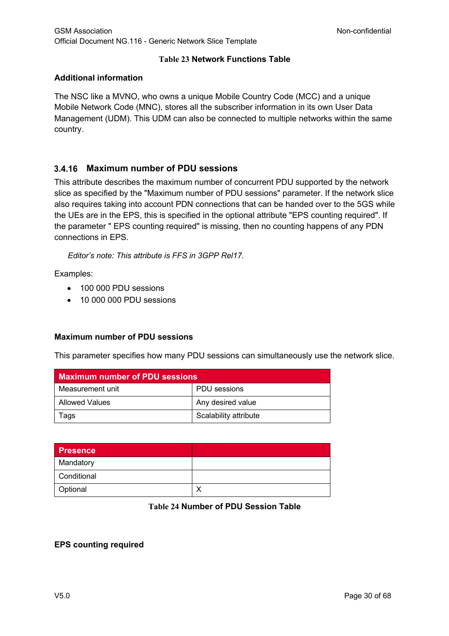## **Table 23 Network Functions Table**

### **Additional information**

The NSC like a MVNO, who owns a unique Mobile Country Code (MCC) and a unique Mobile Network Code (MNC), stores all the subscriber information in its own User Data Management (UDM). This UDM can also be connected to multiple networks within the same country.

## **Maximum number of PDU sessions**

This attribute describes the maximum number of concurrent PDU supported by the network slice as specified by the "Maximum number of PDU sessions" parameter. If the network slice also requires taking into account PDN connections that can be handed over to the 5GS while the UEs are in the EPS, this is specified in the optional attribute "EPS counting required". If the parameter " EPS counting required" is missing, then no counting happens of any PDN connections in EPS.

*Editor's note: This attribute is FFS in 3GPP Rel17.*

Examples:

- 100 000 PDU sessions
- 10 000 000 PDU sessions

### **Maximum number of PDU sessions**

This parameter specifies how many PDU sessions can simultaneously use the network slice.

| <b>Maximum number of PDU sessions</b> |                       |
|---------------------------------------|-----------------------|
| Measurement unit                      | PDU sessions          |
| Allowed Values                        | Any desired value     |
| Tags                                  | Scalability attribute |

| <b>Presence</b> |  |
|-----------------|--|
| Mandatory       |  |
| Conditional     |  |
| Optional        |  |

### **Table 24 Number of PDU Session Table**

### **EPS counting required**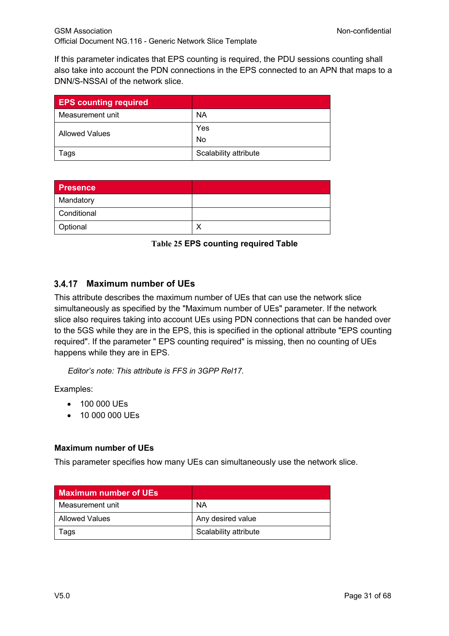If this parameter indicates that EPS counting is required, the PDU sessions counting shall also take into account the PDN connections in the EPS connected to an APN that maps to a DNN/S-NSSAI of the network slice.

| <b>EPS counting required</b> |                       |
|------------------------------|-----------------------|
| Measurement unit             | <b>NA</b>             |
| Allowed Values               | Yes                   |
|                              | No                    |
| Tags                         | Scalability attribute |

| <b>Presence</b> |  |
|-----------------|--|
| Mandatory       |  |
| Conditional     |  |
| Optional        |  |

**Table 25 EPS counting required Table**

## **Maximum number of UEs**

This attribute describes the maximum number of UEs that can use the network slice simultaneously as specified by the "Maximum number of UEs" parameter. If the network slice also requires taking into account UEs using PDN connections that can be handed over to the 5GS while they are in the EPS, this is specified in the optional attribute "EPS counting required". If the parameter " EPS counting required" is missing, then no counting of UEs happens while they are in EPS.

*Editor's note: This attribute is FFS in 3GPP Rel17.*

Examples:

- 100 000 UEs
- 10 000 000 UEs

### **Maximum number of UEs**

This parameter specifies how many UEs can simultaneously use the network slice.

| <b>Maximum number of UEs.</b> |                       |
|-------------------------------|-----------------------|
| Measurement unit              | NA                    |
| Allowed Values                | Any desired value     |
| Tags                          | Scalability attribute |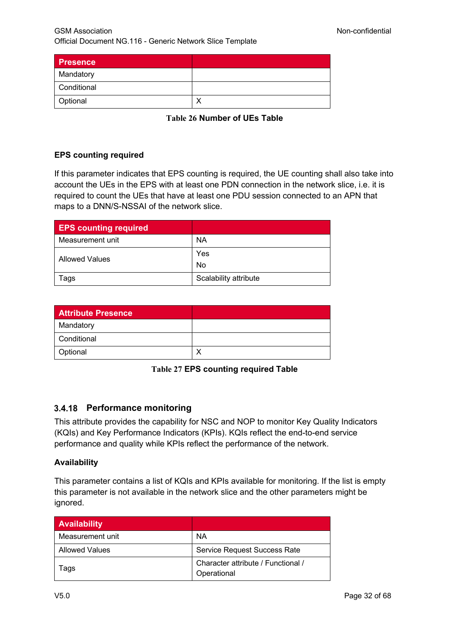| <b>Presence</b> |  |
|-----------------|--|
| Mandatory       |  |
| Conditional     |  |
| Optional        |  |

**Table 26 Number of UEs Table**

### **EPS counting required**

If this parameter indicates that EPS counting is required, the UE counting shall also take into account the UEs in the EPS with at least one PDN connection in the network slice, i.e. it is required to count the UEs that have at least one PDU session connected to an APN that maps to a DNN/S-NSSAI of the network slice.

| <b>EPS counting required</b> |                       |
|------------------------------|-----------------------|
| Measurement unit             | ΝA                    |
| Allowed Values               | Yes                   |
|                              | No                    |
| Tags                         | Scalability attribute |

| <b>Attribute Presence</b> |  |
|---------------------------|--|
| Mandatory                 |  |
| Conditional               |  |
| Optional                  |  |

**Table 27 EPS counting required Table**

## **Performance monitoring**

This attribute provides the capability for NSC and NOP to monitor Key Quality Indicators (KQIs) and Key Performance Indicators (KPIs). KQIs reflect the end-to-end service performance and quality while KPIs reflect the performance of the network.

### **Availability**

This parameter contains a list of KQIs and KPIs available for monitoring. If the list is empty this parameter is not available in the network slice and the other parameters might be ignored.

| <b>Availability</b>   |                                                   |
|-----------------------|---------------------------------------------------|
| Measurement unit      | NA                                                |
| <b>Allowed Values</b> | <b>Service Request Success Rate</b>               |
| ags                   | Character attribute / Functional /<br>Operational |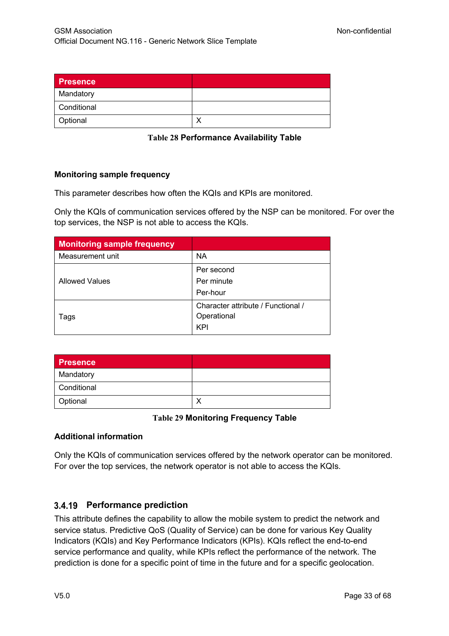| <b>Presence</b> |  |
|-----------------|--|
| Mandatory       |  |
| Conditional     |  |
| Optional        |  |

**Table 28 Performance Availability Table**

### **Monitoring sample frequency**

This parameter describes how often the KQIs and KPIs are monitored.

Only the KQIs of communication services offered by the NSP can be monitored. For over the top services, the NSP is not able to access the KQIs.

| <b>Monitoring sample frequency</b> |                                                          |
|------------------------------------|----------------------------------------------------------|
| Measurement unit                   | <b>NA</b>                                                |
|                                    | Per second                                               |
| <b>Allowed Values</b>              | Per minute                                               |
|                                    | Per-hour                                                 |
| Tags                               | Character attribute / Functional /<br>Operational<br>KPI |

| <b>Presence</b> |  |
|-----------------|--|
| Mandatory       |  |
| Conditional     |  |
| Optional        |  |

### **Table 29 Monitoring Frequency Table**

### **Additional information**

Only the KQIs of communication services offered by the network operator can be monitored. For over the top services, the network operator is not able to access the KQIs.

## **Performance prediction**

This attribute defines the capability to allow the mobile system to predict the network and service status. Predictive QoS (Quality of Service) can be done for various Key Quality Indicators (KQIs) and Key Performance Indicators (KPIs). KQIs reflect the end-to-end service performance and quality, while KPIs reflect the performance of the network. The prediction is done for a specific point of time in the future and for a specific geolocation.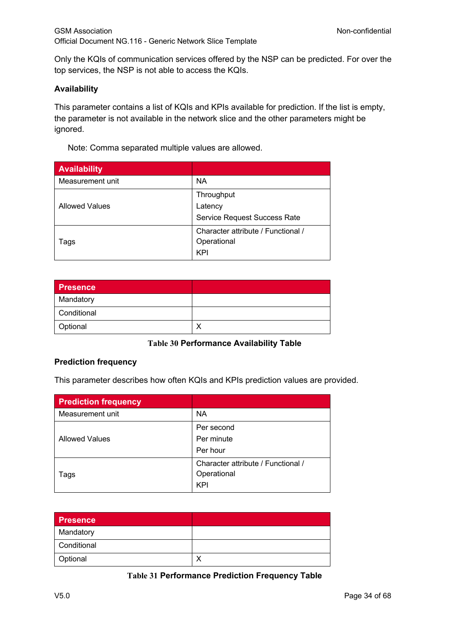Only the KQIs of communication services offered by the NSP can be predicted. For over the top services, the NSP is not able to access the KQIs.

#### **Availability**

This parameter contains a list of KQIs and KPIs available for prediction. If the list is empty, the parameter is not available in the network slice and the other parameters might be ignored.

Note: Comma separated multiple values are allowed.

| <b>Availability</b>   |                                    |
|-----------------------|------------------------------------|
| Measurement unit      | <b>NA</b>                          |
|                       | Throughput                         |
| <b>Allowed Values</b> | Latency                            |
|                       | Service Request Success Rate       |
|                       | Character attribute / Functional / |
| Tags                  | Operational                        |
|                       | <b>KPI</b>                         |

| Presence    |  |
|-------------|--|
| Mandatory   |  |
| Conditional |  |
| Optional    |  |

### **Table 30 Performance Availability Table**

#### **Prediction frequency**

This parameter describes how often KQIs and KPIs prediction values are provided.

| <b>Prediction frequency</b> |                                                          |
|-----------------------------|----------------------------------------------------------|
| Measurement unit            | <b>NA</b>                                                |
| <b>Allowed Values</b>       | Per second<br>Per minute<br>Per hour                     |
| Tags                        | Character attribute / Functional /<br>Operational<br>KPI |

| Presence    |  |
|-------------|--|
| Mandatory   |  |
| Conditional |  |
| Optional    |  |

#### **Table 31 Performance Prediction Frequency Table**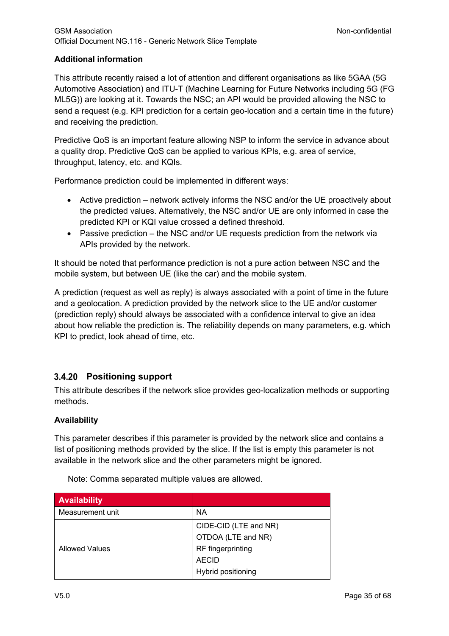## **Additional information**

This attribute recently raised a lot of attention and different organisations as like 5GAA (5G Automotive Association) and ITU-T (Machine Learning for Future Networks including 5G (FG ML5G)) are looking at it. Towards the NSC; an API would be provided allowing the NSC to send a request (e.g. KPI prediction for a certain geo-location and a certain time in the future) and receiving the prediction.

Predictive QoS is an important feature allowing NSP to inform the service in advance about a quality drop. Predictive QoS can be applied to various KPIs, e.g. area of service, throughput, latency, etc. and KQIs.

Performance prediction could be implemented in different ways:

- Active prediction network actively informs the NSC and/or the UE proactively about the predicted values. Alternatively, the NSC and/or UE are only informed in case the predicted KPI or KQI value crossed a defined threshold.
- Passive prediction the NSC and/or UE requests prediction from the network via APIs provided by the network.

It should be noted that performance prediction is not a pure action between NSC and the mobile system, but between UE (like the car) and the mobile system.

A prediction (request as well as reply) is always associated with a point of time in the future and a geolocation. A prediction provided by the network slice to the UE and/or customer (prediction reply) should always be associated with a confidence interval to give an idea about how reliable the prediction is. The reliability depends on many parameters, e.g. which KPI to predict, look ahead of time, etc.

## **Positioning support**

This attribute describes if the network slice provides geo-localization methods or supporting methods.

### **Availability**

This parameter describes if this parameter is provided by the network slice and contains a list of positioning methods provided by the slice. If the list is empty this parameter is not available in the network slice and the other parameters might be ignored.

| <b>Availability</b>   |                       |
|-----------------------|-----------------------|
| Measurement unit      | ΝA                    |
|                       | CIDE-CID (LTE and NR) |
|                       | OTDOA (LTE and NR)    |
| <b>Allowed Values</b> | RF fingerprinting     |
|                       | <b>AECID</b>          |
|                       | Hybrid positioning    |

Note: Comma separated multiple values are allowed.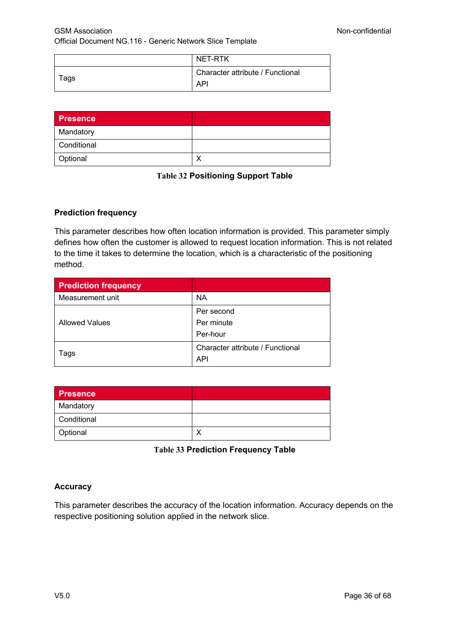|      | NET-RTK                                        |
|------|------------------------------------------------|
| Tags | Character attribute / Functional<br><b>API</b> |

| <b>Presence</b> |  |
|-----------------|--|
| Mandatory       |  |
| Conditional     |  |
| Optional        |  |

| <b>Table 32 Positioning Support Table</b> |  |
|-------------------------------------------|--|
|                                           |  |

### **Prediction frequency**

This parameter describes how often location information is provided. This parameter simply defines how often the customer is allowed to request location information. This is not related to the time it takes to determine the location, which is a characteristic of the positioning method.

| <b>Prediction frequency</b> |                                  |
|-----------------------------|----------------------------------|
| Measurement unit            | <b>NA</b>                        |
|                             | Per second                       |
| <b>Allowed Values</b>       | Per minute                       |
|                             | Per-hour                         |
|                             | Character attribute / Functional |
| Tags                        | <b>API</b>                       |

| <b>Presence</b> |  |
|-----------------|--|
| Mandatory       |  |
| Conditional     |  |
| Optional        |  |

**Table 33 Prediction Frequency Table**

### **Accuracy**

This parameter describes the accuracy of the location information. Accuracy depends on the respective positioning solution applied in the network slice.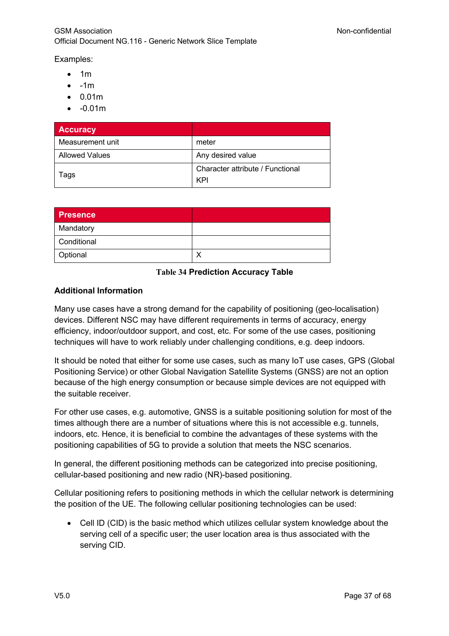Examples:

- $• 1m$
- $\bullet$   $-1m$
- 0.01m
- -0.01m

| <b>Accuracy</b>       |                                  |
|-----------------------|----------------------------------|
| Measurement unit      | meter                            |
| <b>Allowed Values</b> | Any desired value                |
| Tags                  | Character attribute / Functional |
|                       | KPI                              |

| <b>Presence</b> |  |
|-----------------|--|
| Mandatory       |  |
| Conditional     |  |
| Optional        |  |

#### **Table 34 Prediction Accuracy Table**

#### **Additional Information**

Many use cases have a strong demand for the capability of positioning (geo-localisation) devices. Different NSC may have different requirements in terms of accuracy, energy efficiency, indoor/outdoor support, and cost, etc. For some of the use cases, positioning techniques will have to work reliably under challenging conditions, e.g. deep indoors.

It should be noted that either for some use cases, such as many IoT use cases, GPS (Global Positioning Service) or other Global Navigation Satellite Systems (GNSS) are not an option because of the high energy consumption or because simple devices are not equipped with the suitable receiver.

For other use cases, e.g. automotive, GNSS is a suitable positioning solution for most of the times although there are a number of situations where this is not accessible e.g. tunnels, indoors, etc. Hence, it is beneficial to combine the advantages of these systems with the positioning capabilities of 5G to provide a solution that meets the NSC scenarios.

In general, the different positioning methods can be categorized into precise positioning, cellular-based positioning and new radio (NR)-based positioning.

Cellular positioning refers to positioning methods in which the cellular network is determining the position of the UE. The following cellular positioning technologies can be used:

• Cell ID (CID) is the basic method which utilizes cellular system knowledge about the serving cell of a specific user; the user location area is thus associated with the serving CID.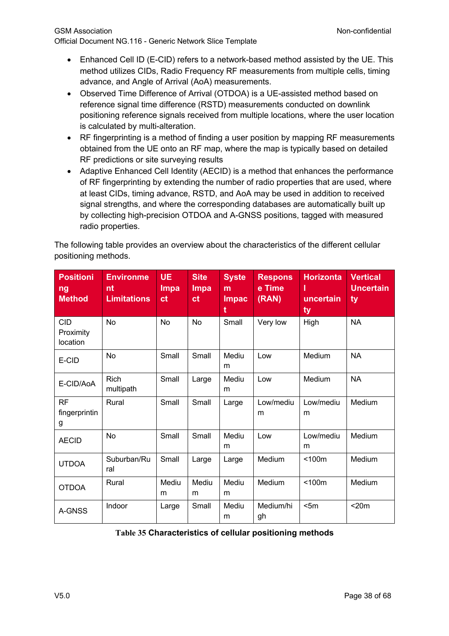- Enhanced Cell ID (E-CID) refers to a network-based method assisted by the UE. This method utilizes CIDs, Radio Frequency RF measurements from multiple cells, timing advance, and Angle of Arrival (AoA) measurements.
- Observed Time Difference of Arrival (OTDOA) is a UE-assisted method based on reference signal time difference (RSTD) measurements conducted on downlink positioning reference signals received from multiple locations, where the user location is calculated by multi-alteration.
- RF fingerprinting is a method of finding a user position by mapping RF measurements obtained from the UE onto an RF map, where the map is typically based on detailed RF predictions or site surveying results
- Adaptive Enhanced Cell Identity (AECID) is a method that enhances the performance of RF fingerprinting by extending the number of radio properties that are used, where at least CIDs, timing advance, RSTD, and AoA may be used in addition to received signal strengths, and where the corresponding databases are automatically built up by collecting high-precision OTDOA and A-GNSS positions, tagged with measured radio properties.

The following table provides an overview about the characteristics of the different cellular positioning methods.

| <b>Positioni</b><br>ng<br><b>Method</b> | <b>Environme</b><br>nt<br><b>Limitations</b> | <b>UE</b><br>Impa<br>ct | <b>Site</b><br>Impa<br>ct | <b>Syste</b><br>m<br><b>Impac</b><br>t | <b>Respons</b><br>e Time<br>(RAN) | <b>Horizonta</b><br>uncertain<br>ty | <b>Vertical</b><br><b>Uncertain</b><br>ty |
|-----------------------------------------|----------------------------------------------|-------------------------|---------------------------|----------------------------------------|-----------------------------------|-------------------------------------|-------------------------------------------|
| <b>CID</b><br>Proximity<br>location     | <b>No</b>                                    | <b>No</b>               | <b>No</b>                 | Small                                  | Very low                          | High                                | <b>NA</b>                                 |
| E-CID                                   | <b>No</b>                                    | Small                   | Small                     | Mediu<br>m                             | Low                               | Medium                              | <b>NA</b>                                 |
| E-CID/AoA                               | <b>Rich</b><br>multipath                     | Small                   | Large                     | Mediu<br>m                             | Low                               | Medium                              | <b>NA</b>                                 |
| <b>RF</b><br>fingerprintin<br>g         | Rural                                        | Small                   | Small                     | Large                                  | Low/mediu<br>m                    | Low/mediu<br>m                      | Medium                                    |
| <b>AECID</b>                            | <b>No</b>                                    | Small                   | Small                     | Mediu<br>m                             | Low                               | Low/mediu<br>m                      | Medium                                    |
| <b>UTDOA</b>                            | Suburban/Ru<br>ral                           | Small                   | Large                     | Large                                  | Medium                            | < 100m                              | Medium                                    |
| <b>OTDOA</b>                            | Rural                                        | Mediu<br>m              | Mediu<br>m                | Mediu<br>m                             | Medium                            | < 100m                              | Medium                                    |
| A-GNSS                                  | Indoor                                       | Large                   | Small                     | Mediu<br>m                             | Medium/hi<br>gh                   | < 5m                                | $<$ 20 $m$                                |

## **Table 35 Characteristics of cellular positioning methods**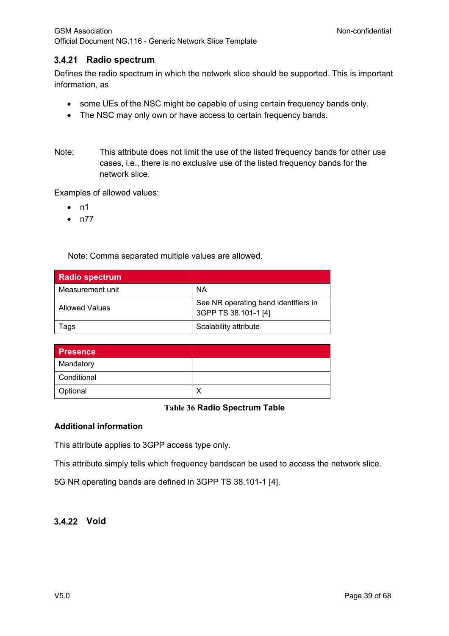## **Radio spectrum**

Defines the radio spectrum in which the network slice should be supported. This is important information, as

- some UEs of the NSC might be capable of using certain frequency bands only.
- The NSC may only own or have access to certain frequency bands.
- Note: This attribute does not limit the use of the listed frequency bands for other use cases, i.e., there is no exclusive use of the listed frequency bands for the network slice.

Examples of allowed values:

- $\bullet$  n1
- n77

Note: Comma separated multiple values are allowed.

| <b>Radio spectrum</b> |                                                              |
|-----------------------|--------------------------------------------------------------|
| Measurement unit      | ΝA                                                           |
| <b>Allowed Values</b> | See NR operating band identifiers in<br>3GPP TS 38.101-1 [4] |
| l ags                 | Scalability attribute                                        |

| <b>Presence</b> |  |
|-----------------|--|
| Mandatory       |  |
| Conditional     |  |
| Optional        |  |

#### **Table 36 Radio Spectrum Table**

#### **Additional information**

This attribute applies to 3GPP access type only.

This attribute simply tells which frequency bandscan be used to access the network slice.

5G NR operating bands are defined in 3GPP TS 38.101-1 [4].

## 3.4.22 Void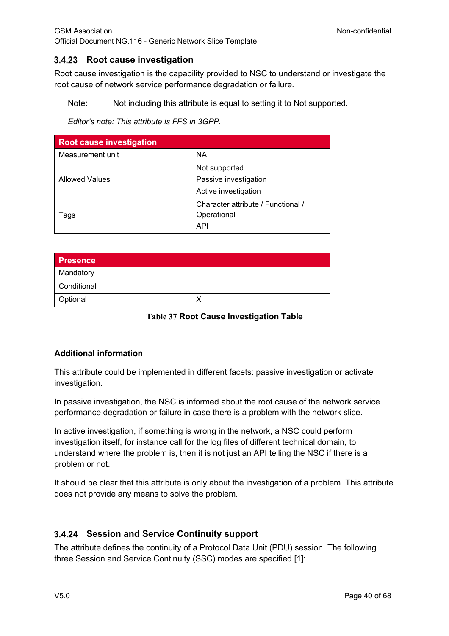## **3.4.23** Root cause investigation

Root cause investigation is the capability provided to NSC to understand or investigate the root cause of network service performance degradation or failure.

Note: Not including this attribute is equal to setting it to Not supported.

*Editor's note: This attribute is FFS in 3GPP.*

| <b>Root cause investigation</b> |                                    |
|---------------------------------|------------------------------------|
| Measurement unit                | <b>NA</b>                          |
|                                 | Not supported                      |
| <b>Allowed Values</b>           | Passive investigation              |
|                                 | Active investigation               |
|                                 | Character attribute / Functional / |
| Tags                            | Operational                        |
|                                 | <b>API</b>                         |

| <b>Presence</b> |  |
|-----------------|--|
| Mandatory       |  |
| Conditional     |  |
| Optional        |  |

**Table 37 Root Cause Investigation Table**

## **Additional information**

This attribute could be implemented in different facets: passive investigation or activate investigation.

In passive investigation, the NSC is informed about the root cause of the network service performance degradation or failure in case there is a problem with the network slice.

In active investigation, if something is wrong in the network, a NSC could perform investigation itself, for instance call for the log files of different technical domain, to understand where the problem is, then it is not just an API telling the NSC if there is a problem or not.

It should be clear that this attribute is only about the investigation of a problem. This attribute does not provide any means to solve the problem.

## **Session and Service Continuity support**

The attribute defines the continuity of a Protocol Data Unit (PDU) session. The following three Session and Service Continuity (SSC) modes are specified [1]: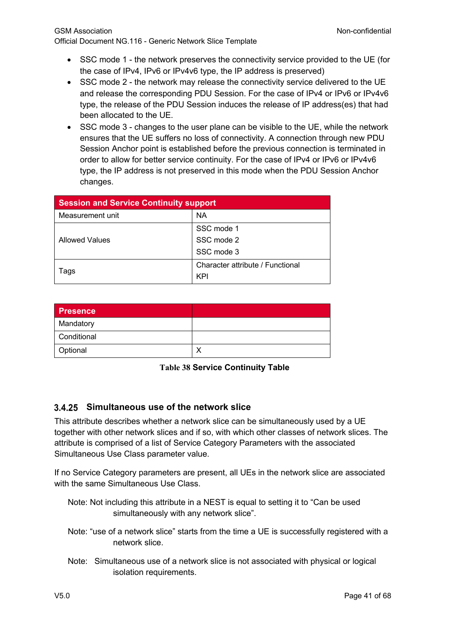- SSC mode 1 the network preserves the connectivity service provided to the UE (for the case of IPv4, IPv6 or IPv4v6 type, the IP address is preserved)
- SSC mode 2 the network may release the connectivity service delivered to the UE and release the corresponding PDU Session. For the case of IPv4 or IPv6 or IPv4v6 type, the release of the PDU Session induces the release of IP address(es) that had been allocated to the UE.
- SSC mode 3 changes to the user plane can be visible to the UE, while the network ensures that the UE suffers no loss of connectivity. A connection through new PDU Session Anchor point is established before the previous connection is terminated in order to allow for better service continuity. For the case of IPv4 or IPv6 or IPv4v6 type, the IP address is not preserved in this mode when the PDU Session Anchor changes.

| <b>Session and Service Continuity support</b> |                                  |
|-----------------------------------------------|----------------------------------|
| Measurement unit                              | <b>NA</b>                        |
|                                               | SSC mode 1                       |
| <b>Allowed Values</b>                         | SSC mode 2                       |
|                                               | SSC mode 3                       |
| l ags                                         | Character attribute / Functional |
|                                               | KPI                              |

| Presence    |  |
|-------------|--|
| Mandatory   |  |
| Conditional |  |
| Optional    |  |

**Table 38 Service Continuity Table**

## **Simultaneous use of the network slice**

This attribute describes whether a network slice can be simultaneously used by a UE together with other network slices and if so, with which other classes of network slices. The attribute is comprised of a list of Service Category Parameters with the associated Simultaneous Use Class parameter value.

If no Service Category parameters are present, all UEs in the network slice are associated with the same Simultaneous Use Class.

- Note: Not including this attribute in a NEST is equal to setting it to "Can be used simultaneously with any network slice".
- Note: "use of a network slice" starts from the time a UE is successfully registered with a network slice.
- Note: Simultaneous use of a network slice is not associated with physical or logical isolation requirements.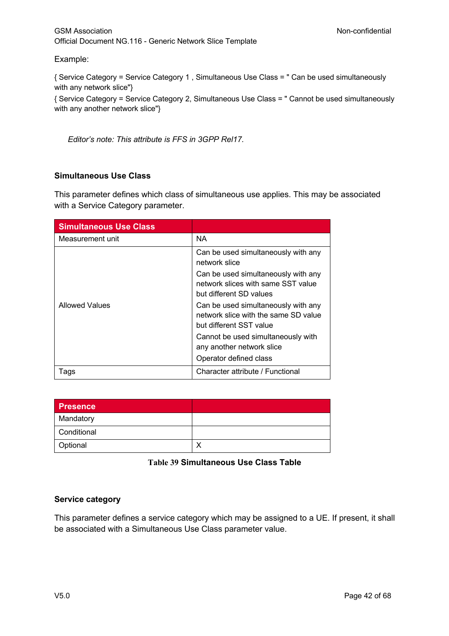### GSM Association **Non-confidential** Official Document NG.116 - Generic Network Slice Template

#### Example:

{ Service Category = Service Category 1 , Simultaneous Use Class = " Can be used simultaneously with any network slice"} { Service Category = Service Category 2, Simultaneous Use Class = " Cannot be used simultaneously with any another network slice"}

*Editor's note: This attribute is FFS in 3GPP Rel17.*

### **Simultaneous Use Class**

This parameter defines which class of simultaneous use applies. This may be associated with a Service Category parameter.

| <b>Simultaneous Use Class</b> |                                                                                                        |
|-------------------------------|--------------------------------------------------------------------------------------------------------|
| Measurement unit              | <b>NA</b>                                                                                              |
|                               | Can be used simultaneously with any<br>network slice                                                   |
|                               | Can be used simultaneously with any<br>network slices with same SST value<br>but different SD values   |
| Allowed Values                | Can be used simultaneously with any<br>network slice with the same SD value<br>but different SST value |
|                               | Cannot be used simultaneously with<br>any another network slice                                        |
|                               | Operator defined class                                                                                 |
| lags                          | Character attribute / Functional                                                                       |

| <b>Presence</b> |  |
|-----------------|--|
| Mandatory       |  |
| Conditional     |  |
| Optional        |  |

## **Table 39 Simultaneous Use Class Table**

### **Service category**

This parameter defines a service category which may be assigned to a UE. If present, it shall be associated with a Simultaneous Use Class parameter value.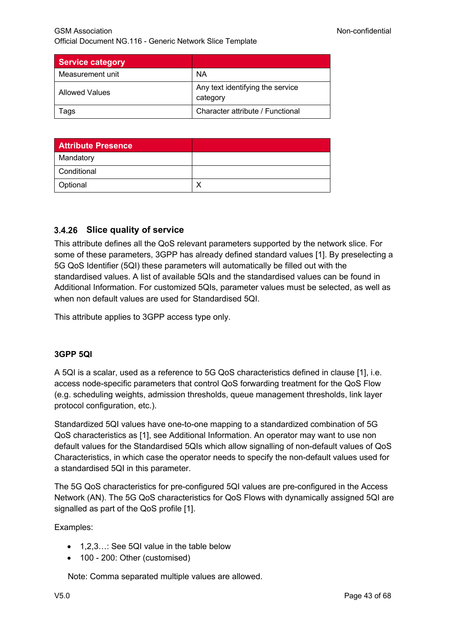| <b>Service category</b> |                                              |
|-------------------------|----------------------------------------------|
| Measurement unit        | NA                                           |
| Allowed Values          | Any text identifying the service<br>category |
| l ags                   | Character attribute / Functional             |

| <b>Attribute Presence</b> |  |
|---------------------------|--|
| Mandatory                 |  |
| Conditional               |  |
| Optional                  |  |

## **Slice quality of service**

This attribute defines all the QoS relevant parameters supported by the network slice. For some of these parameters, 3GPP has already defined standard values [1]. By preselecting a 5G QoS Identifier (5QI) these parameters will automatically be filled out with the standardised values. A list of available 5QIs and the standardised values can be found in Additional Information. For customized 5QIs, parameter values must be selected, as well as when non default values are used for Standardised 5QI.

This attribute applies to 3GPP access type only.

### **3GPP 5QI**

A 5QI is a scalar, used as a reference to 5G QoS characteristics defined in clause [1], i.e. access node-specific parameters that control QoS forwarding treatment for the QoS Flow (e.g. scheduling weights, admission thresholds, queue management thresholds, link layer protocol configuration, etc.).

Standardized 5QI values have one-to-one mapping to a standardized combination of 5G QoS characteristics as [1], see Additional Information. An operator may want to use non default values for the Standardised 5QIs which allow signalling of non-default values of QoS Characteristics, in which case the operator needs to specify the non-default values used for a standardised 5QI in this parameter.

The 5G QoS characteristics for pre-configured 5QI values are pre-configured in the Access Network (AN). The 5G QoS characteristics for QoS Flows with dynamically assigned 5QI are signalled as part of the QoS profile [1].

Examples:

- 1,2,3…: See 5QI value in the table below
- 100 200: Other (customised)

Note: Comma separated multiple values are allowed.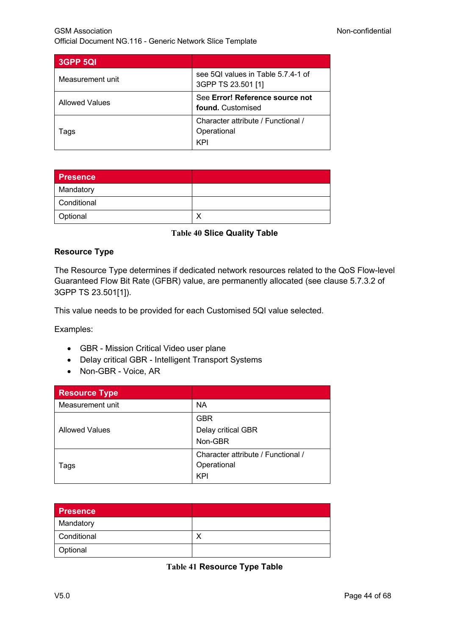| 3GPP 5QI              |                                                          |
|-----------------------|----------------------------------------------------------|
| Measurement unit      | see 5QI values in Table 5.7.4-1 of<br>3GPP TS 23.501 [1] |
| <b>Allowed Values</b> | See Error! Reference source not<br>found. Customised     |
| Tags                  | Character attribute / Functional /<br>Operational<br>KP  |

| <b>Presence</b> |  |
|-----------------|--|
| Mandatory       |  |
| Conditional     |  |
| Optional        |  |

### **Table 40 Slice Quality Table**

### **Resource Type**

The Resource Type determines if dedicated network resources related to the QoS Flow-level Guaranteed Flow Bit Rate (GFBR) value, are permanently allocated (see clause 5.7.3.2 of 3GPP TS 23.501[1]).

This value needs to be provided for each Customised 5QI value selected.

Examples:

- GBR Mission Critical Video user plane
- Delay critical GBR Intelligent Transport Systems
- Non-GBR Voice, AR

| <b>Resource Type</b>  |                                    |
|-----------------------|------------------------------------|
| Measurement unit      | <b>NA</b>                          |
|                       | <b>GBR</b>                         |
| <b>Allowed Values</b> | Delay critical GBR                 |
|                       | Non-GBR                            |
|                       | Character attribute / Functional / |
| Tags                  | Operational<br>KPI                 |
|                       |                                    |

| <b>Presence</b> |  |
|-----------------|--|
| Mandatory       |  |
| Conditional     |  |
| Optional        |  |

**Table 41 Resource Type Table**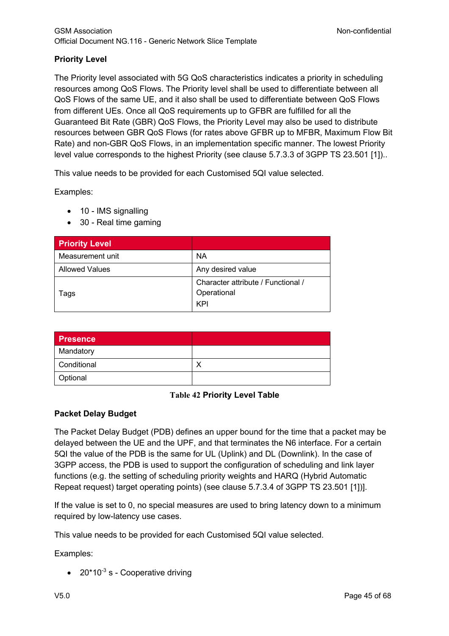## **Priority Level**

The Priority level associated with 5G QoS characteristics indicates a priority in scheduling resources among QoS Flows. The Priority level shall be used to differentiate between all QoS Flows of the same UE, and it also shall be used to differentiate between QoS Flows from different UEs. Once all QoS requirements up to GFBR are fulfilled for all the Guaranteed Bit Rate (GBR) QoS Flows, the Priority Level may also be used to distribute resources between GBR QoS Flows (for rates above GFBR up to MFBR, Maximum Flow Bit Rate) and non-GBR QoS Flows, in an implementation specific manner. The lowest Priority level value corresponds to the highest Priority (see clause 5.7.3.3 of 3GPP TS 23.501 [1])..

This value needs to be provided for each Customised 5QI value selected.

Examples:

- 10 IMS signalling
- 30 Real time gaming

| <b>Priority Level</b> |                                    |
|-----------------------|------------------------------------|
| Measurement unit      | <b>NA</b>                          |
| <b>Allowed Values</b> | Any desired value                  |
|                       | Character attribute / Functional / |
| Tags                  | Operational                        |
|                       | KPI                                |

| <b>Presence</b> |  |
|-----------------|--|
| Mandatory       |  |
| Conditional     |  |
| Optional        |  |

### **Table 42 Priority Level Table**

## **Packet Delay Budget**

The Packet Delay Budget (PDB) defines an upper bound for the time that a packet may be delayed between the UE and the UPF, and that terminates the N6 interface. For a certain 5QI the value of the PDB is the same for UL (Uplink) and DL (Downlink). In the case of 3GPP access, the PDB is used to support the configuration of scheduling and link layer functions (e.g. the setting of scheduling priority weights and HARQ (Hybrid Automatic Repeat request) target operating points) (see clause 5.7.3.4 of 3GPP TS 23.501 [1])].

If the value is set to 0, no special measures are used to bring latency down to a minimum required by low-latency use cases.

This value needs to be provided for each Customised 5QI value selected.

Examples:

 $\bullet$  20\*10<sup>-3</sup> s - Cooperative driving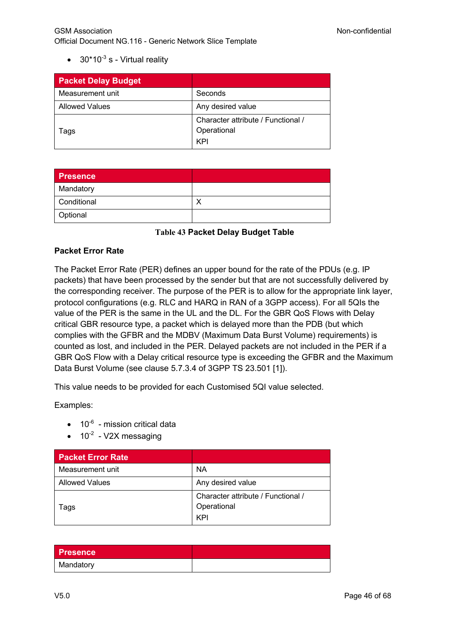•  $30*10^{-3}$  s - Virtual reality

| <b>Packet Delay Budget</b> |                                                   |
|----------------------------|---------------------------------------------------|
| Measurement unit           | Seconds                                           |
| <b>Allowed Values</b>      | Any desired value                                 |
| Tags                       | Character attribute / Functional /<br>Operational |
|                            | KPI                                               |

| <b>Presence</b> |   |
|-----------------|---|
| Mandatory       |   |
| Conditional     | ↗ |
| Optional        |   |

**Table 43 Packet Delay Budget Table**

### **Packet Error Rate**

The Packet Error Rate (PER) defines an upper bound for the rate of the PDUs (e.g. IP packets) that have been processed by the sender but that are not successfully delivered by the corresponding receiver. The purpose of the PER is to allow for the appropriate link layer, protocol configurations (e.g. RLC and HARQ in RAN of a 3GPP access). For all 5QIs the value of the PER is the same in the UL and the DL. For the GBR QoS Flows with Delay critical GBR resource type, a packet which is delayed more than the PDB (but which complies with the GFBR and the MDBV (Maximum Data Burst Volume) requirements) is counted as lost, and included in the PER. Delayed packets are not included in the PER if a GBR QoS Flow with a Delay critical resource type is exceeding the GFBR and the Maximum Data Burst Volume (see clause 5.7.3.4 of 3GPP TS 23.501 [1]).

This value needs to be provided for each Customised 5QI value selected.

Examples:

- $\bullet$  10<sup>-6</sup> mission critical data
- $\bullet$  10<sup>-2</sup> V2X messaging

| <b>Packet Error Rate</b> |                                                          |
|--------------------------|----------------------------------------------------------|
| Measurement unit         | ΝA                                                       |
| <b>Allowed Values</b>    | Any desired value                                        |
| Tags                     | Character attribute / Functional /<br>Operational<br>KPI |

| <b>Presence</b> |  |
|-----------------|--|
| Mandatory       |  |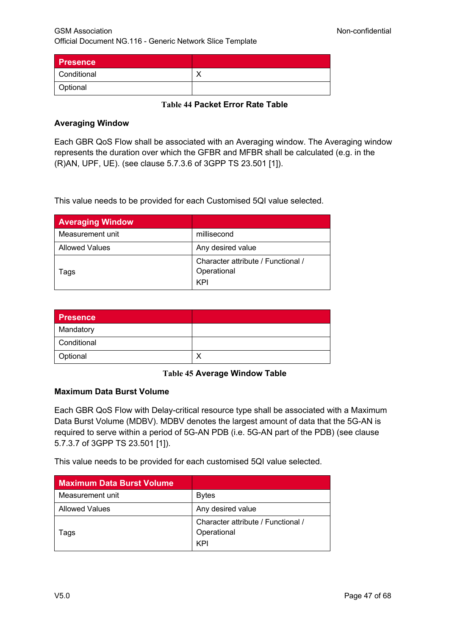| <b>Presence</b> |  |
|-----------------|--|
| Conditional     |  |
| Optional        |  |

### **Table 44 Packet Error Rate Table**

### **Averaging Window**

Each GBR QoS Flow shall be associated with an Averaging window. The Averaging window represents the duration over which the GFBR and MFBR shall be calculated (e.g. in the (R)AN, UPF, UE). (see clause 5.7.3.6 of 3GPP TS 23.501 [1]).

This value needs to be provided for each Customised 5QI value selected.

| <b>Averaging Window</b> |                                                   |
|-------------------------|---------------------------------------------------|
| Measurement unit        | millisecond                                       |
| <b>Allowed Values</b>   | Any desired value                                 |
| Tags                    | Character attribute / Functional /<br>Operational |
|                         | KPI                                               |

| <b>Presence</b> |  |
|-----------------|--|
| Mandatory       |  |
| Conditional     |  |
| Optional        |  |

### **Table 45 Average Window Table**

### **Maximum Data Burst Volume**

Each GBR QoS Flow with Delay-critical resource type shall be associated with a Maximum Data Burst Volume (MDBV). MDBV denotes the largest amount of data that the 5G-AN is required to serve within a period of 5G-AN PDB (i.e. 5G-AN part of the PDB) (see clause 5.7.3.7 of 3GPP TS 23.501 [1]).

This value needs to be provided for each customised 5QI value selected.

| <b>Maximum Data Burst Volume</b> |                                                          |
|----------------------------------|----------------------------------------------------------|
| Measurement unit                 | <b>Bytes</b>                                             |
| <b>Allowed Values</b>            | Any desired value                                        |
| l ags                            | Character attribute / Functional /<br>Operational<br>KPI |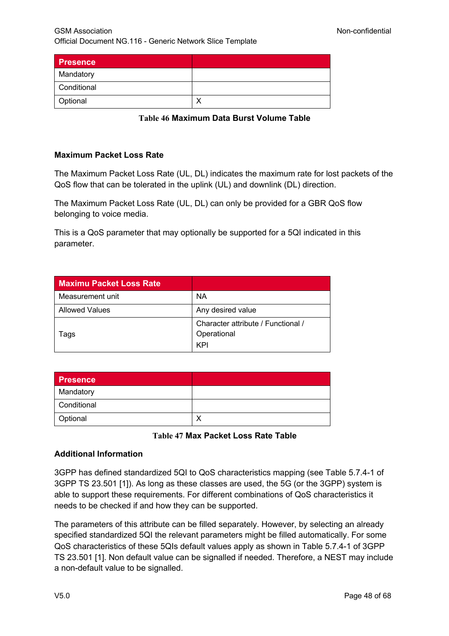| <b>Presence</b> |   |
|-----------------|---|
| Mandatory       |   |
| Conditional     |   |
| Optional        | ↘ |

**Table 46 Maximum Data Burst Volume Table**

### **Maximum Packet Loss Rate**

The Maximum Packet Loss Rate (UL, DL) indicates the maximum rate for lost packets of the QoS flow that can be tolerated in the uplink (UL) and downlink (DL) direction.

The Maximum Packet Loss Rate (UL, DL) can only be provided for a GBR QoS flow belonging to voice media.

This is a QoS parameter that may optionally be supported for a 5QI indicated in this parameter.

| <b>Maximu Packet Loss Rate</b> |                                    |
|--------------------------------|------------------------------------|
| Measurement unit               | <b>NA</b>                          |
| <b>Allowed Values</b>          | Any desired value                  |
|                                | Character attribute / Functional / |
| Tags                           | Operational                        |
|                                | KPI                                |

| <b>Presence</b> |  |
|-----------------|--|
| Mandatory       |  |
| Conditional     |  |
| Optional        |  |

### **Table 47 Max Packet Loss Rate Table**

### **Additional Information**

3GPP has defined standardized 5QI to QoS characteristics mapping (see Table 5.7.4-1 of 3GPP TS 23.501 [1]). As long as these classes are used, the 5G (or the 3GPP) system is able to support these requirements. For different combinations of QoS characteristics it needs to be checked if and how they can be supported.

The parameters of this attribute can be filled separately. However, by selecting an already specified standardized 5QI the relevant parameters might be filled automatically. For some QoS characteristics of these 5QIs default values apply as shown in Table 5.7.4-1 of 3GPP TS 23.501 [1]. Non default value can be signalled if needed. Therefore, a NEST may include a non-default value to be signalled.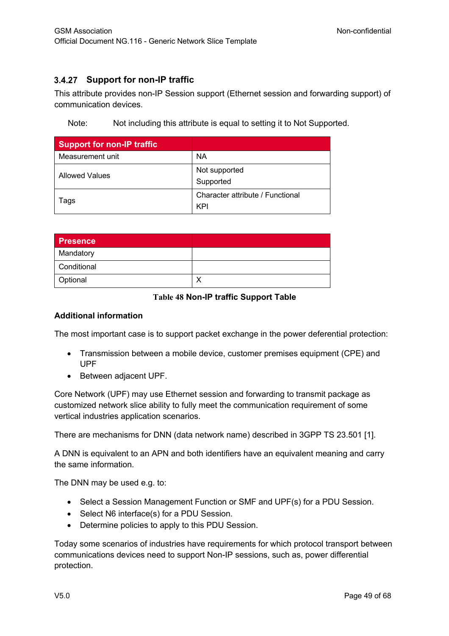## **Support for non-IP traffic**

This attribute provides non-IP Session support (Ethernet session and forwarding support) of communication devices.

Note: Not including this attribute is equal to setting it to Not Supported.

| <b>Support for non-IP traffic</b> |                                         |
|-----------------------------------|-----------------------------------------|
| Measurement unit                  | <b>NA</b>                               |
| <b>Allowed Values</b>             | Not supported<br>Supported              |
| Tags                              | Character attribute / Functional<br>KPI |

| <b>Presence</b> |  |
|-----------------|--|
| Mandatory       |  |
| Conditional     |  |
| Optional        |  |

### **Table 48 Non-IP traffic Support Table**

#### **Additional information**

The most important case is to support packet exchange in the power deferential protection:

- Transmission between a mobile device, customer premises equipment (CPE) and UPF
- Between adjacent UPF.

Core Network (UPF) may use Ethernet session and forwarding to transmit package as customized network slice ability to fully meet the communication requirement of some vertical industries application scenarios.

There are mechanisms for DNN (data network name) described in 3GPP TS 23.501 [1].

A DNN is equivalent to an APN and both identifiers have an equivalent meaning and carry the same information.

The DNN may be used e.g. to:

- Select a Session Management Function or SMF and UPF(s) for a PDU Session.
- Select N6 interface(s) for a PDU Session.
- Determine policies to apply to this PDU Session.

Today some scenarios of industries have requirements for which protocol transport between communications devices need to support Non-IP sessions, such as, power differential protection.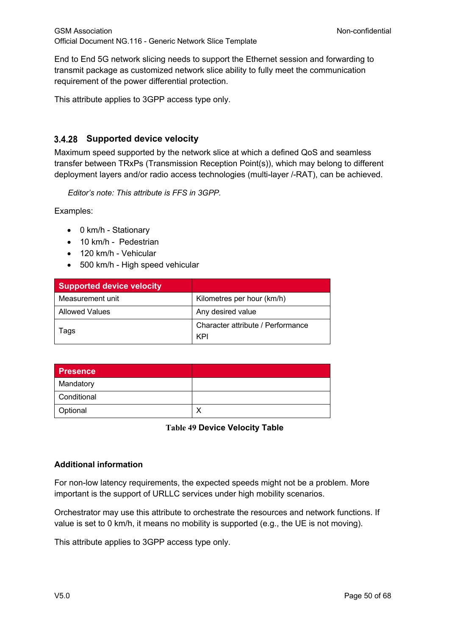End to End 5G network slicing needs to support the Ethernet session and forwarding to transmit package as customized network slice ability to fully meet the communication requirement of the power differential protection.

This attribute applies to 3GPP access type only.

## **Supported device velocity**

Maximum speed supported by the network slice at which a defined QoS and seamless transfer between TRxPs (Transmission Reception Point(s)), which may belong to different deployment layers and/or radio access technologies (multi-layer /-RAT), can be achieved.

*Editor's note: This attribute is FFS in 3GPP.*

Examples:

- 0 km/h Stationary
- 10 km/h Pedestrian
- 120 km/h Vehicular
- 500 km/h High speed vehicular

| <b>Supported device velocity</b> |                                   |
|----------------------------------|-----------------------------------|
| Measurement unit                 | Kilometres per hour (km/h)        |
| Allowed Values                   | Any desired value                 |
| lags                             | Character attribute / Performance |
|                                  | KPI                               |

| <b>Presence</b> |  |
|-----------------|--|
| Mandatory       |  |
| Conditional     |  |
| Optional        |  |

**Table 49 Device Velocity Table**

### **Additional information**

For non-low latency requirements, the expected speeds might not be a problem. More important is the support of URLLC services under high mobility scenarios.

Orchestrator may use this attribute to orchestrate the resources and network functions. If value is set to 0 km/h, it means no mobility is supported (e.g., the UE is not moving).

This attribute applies to 3GPP access type only.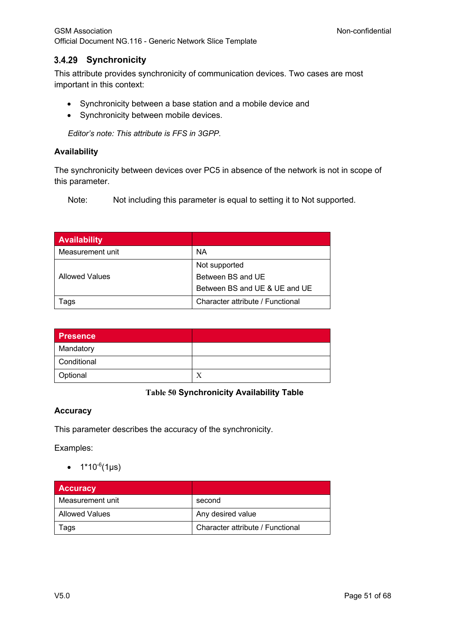## **Synchronicity**

This attribute provides synchronicity of communication devices. Two cases are most important in this context:

- Synchronicity between a base station and a mobile device and
- Synchronicity between mobile devices.

*Editor's note: This attribute is FFS in 3GPP.*

### **Availability**

The synchronicity between devices over PC5 in absence of the network is not in scope of this parameter.

Note: Not including this parameter is equal to setting it to Not supported.

| <b>Availability</b>   |                                  |
|-----------------------|----------------------------------|
| Measurement unit      | ΝA                               |
|                       | Not supported                    |
| <b>Allowed Values</b> | Between BS and UE                |
|                       | Between BS and UE & UE and UE    |
| Tags                  | Character attribute / Functional |

| <b>Presence</b> |   |
|-----------------|---|
| Mandatory       |   |
| Conditional     |   |
| Optional        | Х |

### **Table 50 Synchronicity Availability Table**

### **Accuracy**

This parameter describes the accuracy of the synchronicity.

Examples:

•  $1*10^{-6}$ (1µs)

| <b>Accuracy</b>  |                                  |
|------------------|----------------------------------|
| Measurement unit | second                           |
| Allowed Values   | Any desired value                |
| Tags             | Character attribute / Functional |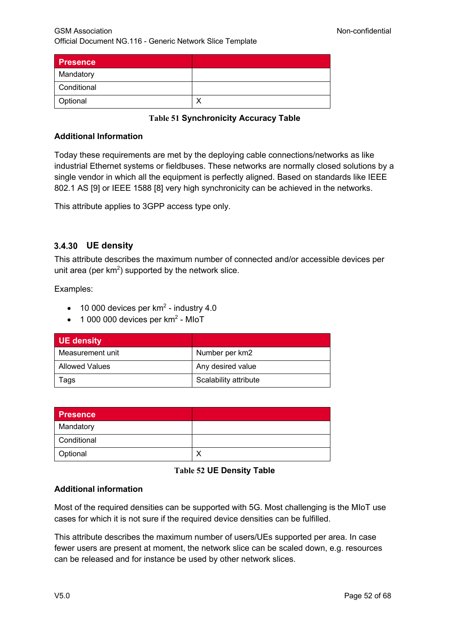| Presence    |  |
|-------------|--|
| Mandatory   |  |
| Conditional |  |
| Optional    |  |

**Table 51 Synchronicity Accuracy Table**

### **Additional Information**

Today these requirements are met by the deploying cable connections/networks as like industrial Ethernet systems or fieldbuses. These networks are normally closed solutions by a single vendor in which all the equipment is perfectly aligned. Based on standards like IEEE 802.1 AS [9] or IEEE 1588 [8] very high synchronicity can be achieved in the networks.

This attribute applies to 3GPP access type only.

### **UE density**

This attribute describes the maximum number of connected and/or accessible devices per unit area (per  $km^2$ ) supported by the network slice.

Examples:

- 10 000 devices per  $km<sup>2</sup>$  industry 4.0
- $\bullet$  1 000 000 devices per km<sup>2</sup> MIoT

| UE density            |                       |
|-----------------------|-----------------------|
| Measurement unit      | Number per km2        |
| <b>Allowed Values</b> | Any desired value     |
| Tags                  | Scalability attribute |

| <b>Presence</b> |  |
|-----------------|--|
| Mandatory       |  |
| Conditional     |  |
| Optional        |  |

### **Table 52 UE Density Table**

### **Additional information**

Most of the required densities can be supported with 5G. Most challenging is the MIoT use cases for which it is not sure if the required device densities can be fulfilled.

This attribute describes the maximum number of users/UEs supported per area. In case fewer users are present at moment, the network slice can be scaled down, e.g. resources can be released and for instance be used by other network slices.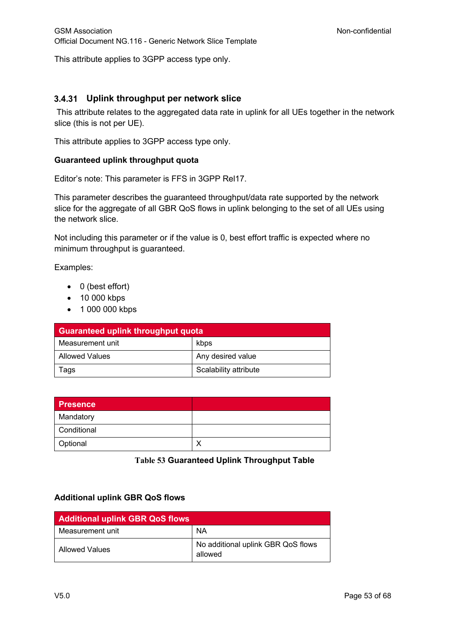This attribute applies to 3GPP access type only.

## **Uplink throughput per network slice**

This attribute relates to the aggregated data rate in uplink for all UEs together in the network slice (this is not per UE).

This attribute applies to 3GPP access type only.

#### **Guaranteed uplink throughput quota**

Editor's note: This parameter is FFS in 3GPP Rel17.

This parameter describes the guaranteed throughput/data rate supported by the network slice for the aggregate of all GBR QoS flows in uplink belonging to the set of all UEs using the network slice.

Not including this parameter or if the value is 0, best effort traffic is expected where no minimum throughput is guaranteed.

Examples:

- 0 (best effort)
- 10 000 kbps
- 1 000 000 kbps

| <b>Guaranteed uplink throughput quota</b> |                       |
|-------------------------------------------|-----------------------|
| Measurement unit                          | kbps                  |
| Allowed Values                            | Any desired value     |
| Tags                                      | Scalability attribute |

| <b>Presence</b> |  |
|-----------------|--|
| Mandatory       |  |
| Conditional     |  |
| Optional        |  |

**Table 53 Guaranteed Uplink Throughput Table**

### **Additional uplink GBR QoS flows**

| <b>Additional uplink GBR QoS flows</b> |                                               |
|----------------------------------------|-----------------------------------------------|
| Measurement unit                       | <b>NA</b>                                     |
| Allowed Values                         | No additional uplink GBR QoS flows<br>allowed |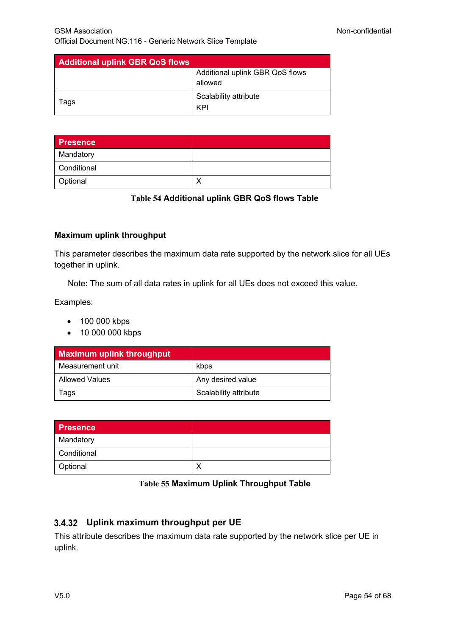| <b>Additional uplink GBR QoS flows</b> |                                 |
|----------------------------------------|---------------------------------|
|                                        | Additional uplink GBR QoS flows |
|                                        | allowed                         |
| laqs                                   | Scalability attribute           |
|                                        | KPI                             |

| <b>Presence</b> |  |
|-----------------|--|
| Mandatory       |  |
| Conditional     |  |
| Optional        |  |

#### **Table 54 Additional uplink GBR QoS flows Table**

### **Maximum uplink throughput**

This parameter describes the maximum data rate supported by the network slice for all UEs together in uplink.

Note: The sum of all data rates in uplink for all UEs does not exceed this value.

Examples:

- 100 000 kbps
- 10 000 000 kbps

| <b>Maximum uplink throughput</b> |                       |
|----------------------------------|-----------------------|
| Measurement unit                 | kbps                  |
| <b>Allowed Values</b>            | Any desired value     |
| lags                             | Scalability attribute |

| <b>Presence</b> |  |
|-----------------|--|
| Mandatory       |  |
| Conditional     |  |
| Optional        |  |

#### **Table 55 Maximum Uplink Throughput Table**

## **Uplink maximum throughput per UE**

This attribute describes the maximum data rate supported by the network slice per UE in uplink.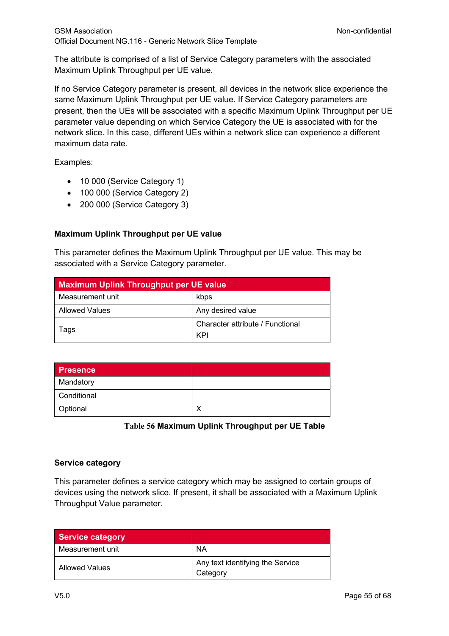The attribute is comprised of a list of Service Category parameters with the associated Maximum Uplink Throughput per UE value.

If no Service Category parameter is present, all devices in the network slice experience the same Maximum Uplink Throughput per UE value. If Service Category parameters are present, then the UEs will be associated with a specific Maximum Uplink Throughput per UE parameter value depending on which Service Category the UE is associated with for the network slice. In this case, different UEs within a network slice can experience a different maximum data rate.

Examples:

- 10 000 (Service Category 1)
- 100 000 (Service Category 2)
- 200 000 (Service Category 3)

## **Maximum Uplink Throughput per UE value**

This parameter defines the Maximum Uplink Throughput per UE value. This may be associated with a Service Category parameter.

| <b>Maximum Uplink Throughput per UE value</b> |                                  |
|-----------------------------------------------|----------------------------------|
| Measurement unit                              | kbps                             |
| <b>Allowed Values</b>                         | Any desired value                |
| lags                                          | Character attribute / Functional |
|                                               | KPI                              |

| <b>Presence</b> |  |
|-----------------|--|
| Mandatory       |  |
| Conditional     |  |
| Optional        |  |

**Table 56 Maximum Uplink Throughput per UE Table**

## **Service category**

This parameter defines a service category which may be assigned to certain groups of devices using the network slice. If present, it shall be associated with a Maximum Uplink Throughput Value parameter.

| <b>Service category</b> |                                              |
|-------------------------|----------------------------------------------|
| Measurement unit        | NA                                           |
| Allowed Values          | Any text identifying the Service<br>Category |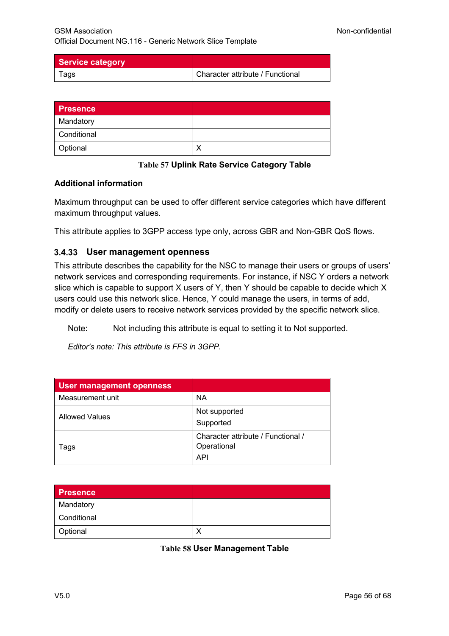| Service category |                                  |
|------------------|----------------------------------|
| l ags            | Character attribute / Functional |

| <b>Presence</b> |  |
|-----------------|--|
| Mandatory       |  |
| Conditional     |  |
| Optional        |  |

**Table 57 Uplink Rate Service Category Table**

### **Additional information**

Maximum throughput can be used to offer different service categories which have different maximum throughput values.

This attribute applies to 3GPP access type only, across GBR and Non-GBR QoS flows.

### **User management openness**

This attribute describes the capability for the NSC to manage their users or groups of users' network services and corresponding requirements. For instance, if NSC Y orders a network slice which is capable to support X users of Y, then Y should be capable to decide which X users could use this network slice. Hence, Y could manage the users, in terms of add, modify or delete users to receive network services provided by the specific network slice.

Note: Not including this attribute is equal to setting it to Not supported.

*Editor's note: This attribute is FFS in 3GPP.*

| <b>User management openness</b> |                                    |
|---------------------------------|------------------------------------|
| Measurement unit                | ΝA                                 |
| <b>Allowed Values</b>           | Not supported                      |
|                                 | Supported                          |
| Tags                            | Character attribute / Functional / |
|                                 | Operational                        |
|                                 | <b>API</b>                         |

| <b>Presence</b> |  |
|-----------------|--|
| Mandatory       |  |
| Conditional     |  |
| Optional        |  |

**Table 58 User Management Table**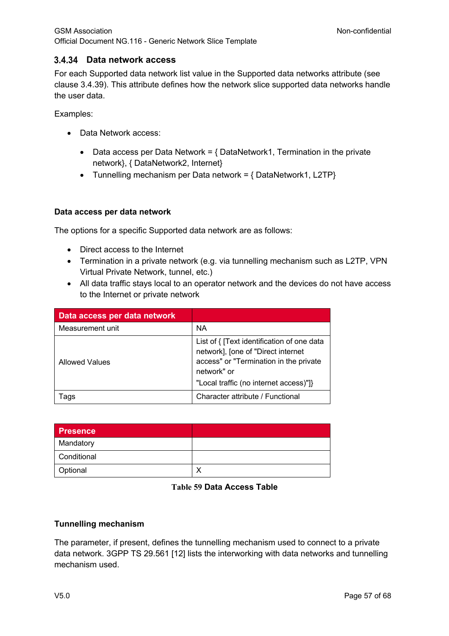## **Data network access**

For each Supported data network list value in the Supported data networks attribute (see clause 3.4.39). This attribute defines how the network slice supported data networks handle the user data.

Examples:

- Data Network access:
	- Data access per Data Network =  $\{$  DataNetwork1, Termination in the private network}, { DataNetwork2, Internet}
	- Tunnelling mechanism per Data network = { DataNetwork1, L2TP}

#### **Data access per data network**

The options for a specific Supported data network are as follows:

- Direct access to the Internet
- Termination in a private network (e.g. via tunnelling mechanism such as L2TP, VPN Virtual Private Network, tunnel, etc.)
- All data traffic stays local to an operator network and the devices do not have access to the Internet or private network

| Data access per data network |                                                                                                                                                                                     |
|------------------------------|-------------------------------------------------------------------------------------------------------------------------------------------------------------------------------------|
| Measurement unit             | <b>NA</b>                                                                                                                                                                           |
| <b>Allowed Values</b>        | List of { [Text identification of one data<br>network], [one of "Direct internet<br>access" or "Termination in the private<br>network" or<br>"Local traffic (no internet access)"]} |
| l ags                        | Character attribute / Functional                                                                                                                                                    |

| <b>Presence</b> |  |
|-----------------|--|
| Mandatory       |  |
| Conditional     |  |
| Optional        |  |

#### **Table 59 Data Access Table**

### **Tunnelling mechanism**

The parameter, if present, defines the tunnelling mechanism used to connect to a private data network. 3GPP TS 29.561 [12] lists the interworking with data networks and tunnelling mechanism used.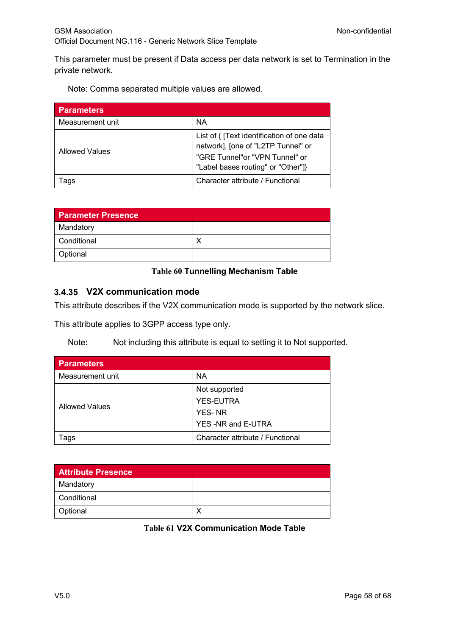This parameter must be present if Data access per data network is set to Termination in the private network.

Note: Comma separated multiple values are allowed.

| <b>Parameters</b>     |                                                                                                                                                          |
|-----------------------|----------------------------------------------------------------------------------------------------------------------------------------------------------|
| Measurement unit      | <b>NA</b>                                                                                                                                                |
| <b>Allowed Values</b> | List of { [Text identification of one data<br>network], [one of "L2TP Tunnel" or<br>"GRE Tunnel"or "VPN Tunnel" or<br>"Label bases routing" or "Other"]} |
| Tags                  | Character attribute / Functional                                                                                                                         |

| <b>Parameter Presence</b> |  |
|---------------------------|--|
| Mandatory                 |  |
| Conditional               |  |
| Optional                  |  |

### **Table 60 Tunnelling Mechanism Table**

## **V2X communication mode**

This attribute describes if the V2X communication mode is supported by the network slice.

This attribute applies to 3GPP access type only.

Note: Not including this attribute is equal to setting it to Not supported.

| <b>Parameters</b>     |                                  |
|-----------------------|----------------------------------|
| Measurement unit      | ΝA                               |
| <b>Allowed Values</b> | Not supported                    |
|                       | <b>YES-EUTRA</b>                 |
|                       | <b>YES-NR</b>                    |
|                       | YES-NR and E-UTRA                |
| Tags                  | Character attribute / Functional |

| <b>Attribute Presence</b> |  |
|---------------------------|--|
| Mandatory                 |  |
| Conditional               |  |
| Optional                  |  |

**Table 61 V2X Communication Mode Table**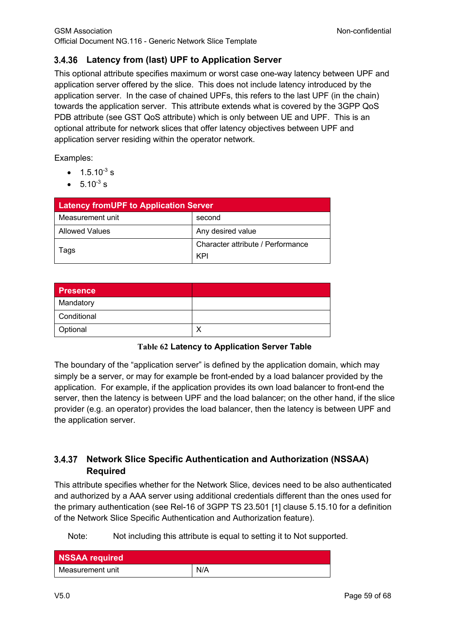## **Latency from (last) UPF to Application Server**

This optional attribute specifies maximum or worst case one-way latency between UPF and application server offered by the slice. This does not include latency introduced by the application server. In the case of chained UPFs, this refers to the last UPF (in the chain) towards the application server. This attribute extends what is covered by the 3GPP QoS PDB attribute (see GST QoS attribute) which is only between UE and UPF. This is an optional attribute for network slices that offer latency objectives between UPF and application server residing within the operator network.

Examples:

- $1.5.10^{-3}$  s
- $5.10^{-3}$  s

| <b>Latency fromUPF to Application Server</b> |                                   |
|----------------------------------------------|-----------------------------------|
| Measurement unit                             | second                            |
| <b>Allowed Values</b>                        | Any desired value                 |
| lags                                         | Character attribute / Performance |
|                                              | KPI                               |

| <b>Presence</b> |  |
|-----------------|--|
| Mandatory       |  |
| Conditional     |  |
| Optional        |  |

## **Table 62 Latency to Application Server Table**

The boundary of the "application server" is defined by the application domain, which may simply be a server, or may for example be front-ended by a load balancer provided by the application. For example, if the application provides its own load balancer to front-end the server, then the latency is between UPF and the load balancer; on the other hand, if the slice provider (e.g. an operator) provides the load balancer, then the latency is between UPF and the application server.

## **Network Slice Specific Authentication and Authorization (NSSAA) Required**

This attribute specifies whether for the Network Slice, devices need to be also authenticated and authorized by a AAA server using additional credentials different than the ones used for the primary authentication (see Rel-16 of 3GPP TS 23.501 [1] clause 5.15.10 for a definition of the Network Slice Specific Authentication and Authorization feature).

Note: Not including this attribute is equal to setting it to Not supported.

| NSSAA required   |     |
|------------------|-----|
| Measurement unit | N/A |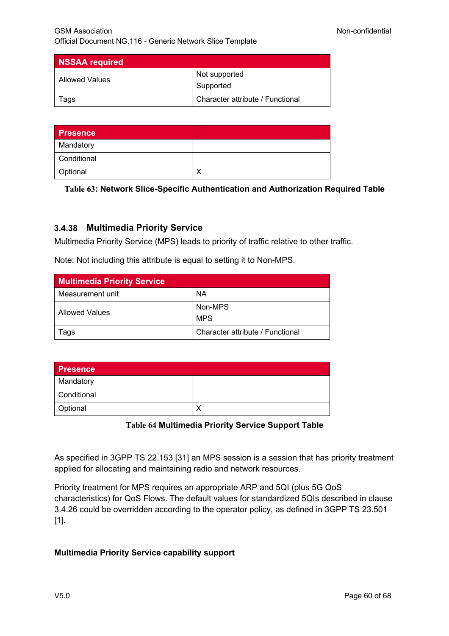| <b>NSSAA required</b> |                                  |
|-----------------------|----------------------------------|
| Allowed Values        | Not supported                    |
|                       | Supported                        |
| ags                   | Character attribute / Functional |

| <b>Presence</b> |  |
|-----------------|--|
| Mandatory       |  |
| Conditional     |  |
| Optional        |  |

**Table 63: Network Slice-Specific Authentication and Authorization Required Table** 

## **Multimedia Priority Service**

Multimedia Priority Service (MPS) leads to priority of traffic relative to other traffic.

Note: Not including this attribute is equal to setting it to Non-MPS.

| <b>Multimedia Priority Service</b> |                                  |
|------------------------------------|----------------------------------|
| Measurement unit                   | ΝA                               |
| Allowed Values                     | Non-MPS<br><b>MPS</b>            |
| Tags                               | Character attribute / Functional |

| <b>Presence</b> |  |
|-----------------|--|
| Mandatory       |  |
| Conditional     |  |
| Optional        |  |

**Table 64 Multimedia Priority Service Support Table**

As specified in 3GPP TS 22.153 [31] an MPS session is a session that has priority treatment applied for allocating and maintaining radio and network resources.

Priority treatment for MPS requires an appropriate ARP and 5QI (plus 5G QoS characteristics) for QoS Flows. The default values for standardized 5QIs described in clause 3.4.26 could be overridden according to the operator policy, as defined in 3GPP TS 23.501 [1].

## **Multimedia Priority Service capability support**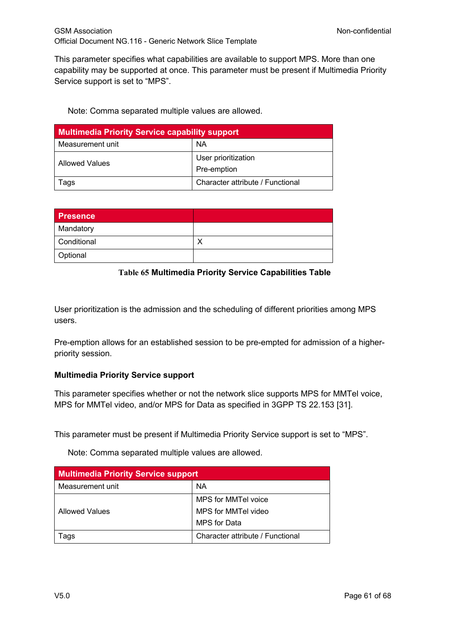This parameter specifies what capabilities are available to support MPS. More than one capability may be supported at once. This parameter must be present if Multimedia Priority Service support is set to "MPS".

Note: Comma separated multiple values are allowed.

| <b>Multimedia Priority Service capability support</b> |                                    |  |
|-------------------------------------------------------|------------------------------------|--|
| Measurement unit                                      | <b>NA</b>                          |  |
| Allowed Values                                        | User prioritization<br>Pre-emption |  |
| Tags                                                  | Character attribute / Functional   |  |

| <b>Presence</b> |  |
|-----------------|--|
| Mandatory       |  |
| Conditional     |  |
| Optional        |  |

### **Table 65 Multimedia Priority Service Capabilities Table**

User prioritization is the admission and the scheduling of different priorities among MPS users.

Pre-emption allows for an established session to be pre-empted for admission of a higherpriority session.

### **Multimedia Priority Service support**

This parameter specifies whether or not the network slice supports MPS for MMTel voice, MPS for MMTel video, and/or MPS for Data as specified in 3GPP TS 22.153 [31].

This parameter must be present if Multimedia Priority Service support is set to "MPS".

Note: Comma separated multiple values are allowed.

| <b>Multimedia Priority Service support</b> |                                  |  |
|--------------------------------------------|----------------------------------|--|
| Measurement unit                           | <b>NA</b>                        |  |
|                                            | MPS for MMTel voice              |  |
| <b>Allowed Values</b>                      | MPS for MMTel video              |  |
|                                            | <b>MPS</b> for Data              |  |
| ags                                        | Character attribute / Functional |  |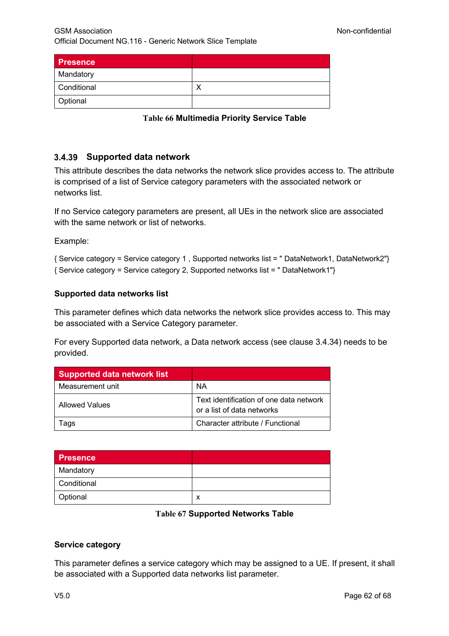| Presence    |  |
|-------------|--|
| Mandatory   |  |
| Conditional |  |
| Optional    |  |

**Table 66 Multimedia Priority Service Table**

## **Supported data network**

This attribute describes the data networks the network slice provides access to. The attribute is comprised of a list of Service category parameters with the associated network or networks list.

If no Service category parameters are present, all UEs in the network slice are associated with the same network or list of networks.

Example:

{ Service category = Service category 1 , Supported networks list = " DataNetwork1, DataNetwork2"} { Service category = Service category 2, Supported networks list = " DataNetwork1"}

### **Supported data networks list**

This parameter defines which data networks the network slice provides access to. This may be associated with a Service Category parameter.

For every Supported data network, a Data network access (see clause 3.4.34) needs to be provided.

| <b>Supported data network list</b> |                                                                       |
|------------------------------------|-----------------------------------------------------------------------|
| Measurement unit                   | <b>NA</b>                                                             |
| <b>Allowed Values</b>              | Text identification of one data network<br>or a list of data networks |
| aas                                | Character attribute / Functional                                      |

| <b>Presence</b> |   |
|-----------------|---|
| Mandatory       |   |
| Conditional     |   |
| Optional        | x |

#### **Table 67 Supported Networks Table**

### **Service category**

This parameter defines a service category which may be assigned to a UE. If present, it shall be associated with a Supported data networks list parameter.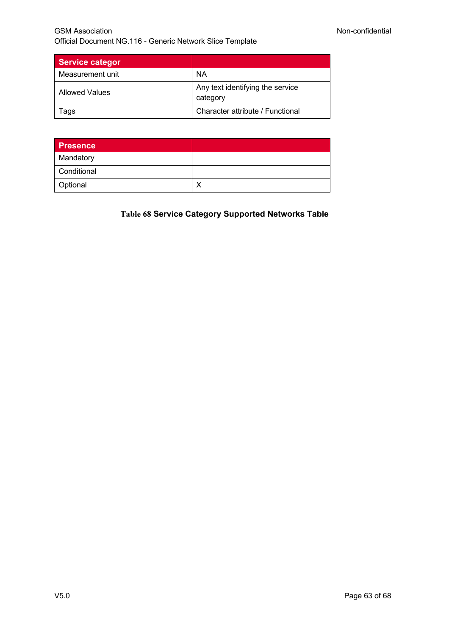| <b>Service categor</b> |                                              |
|------------------------|----------------------------------------------|
| Measurement unit       | ΝA                                           |
| Allowed Values         | Any text identifying the service<br>category |
| ags                    | Character attribute / Functional             |

| <b>Presence</b> |  |
|-----------------|--|
| Mandatory       |  |
| Conditional     |  |
| Optional        |  |

## **Table 68 Service Category Supported Networks Table**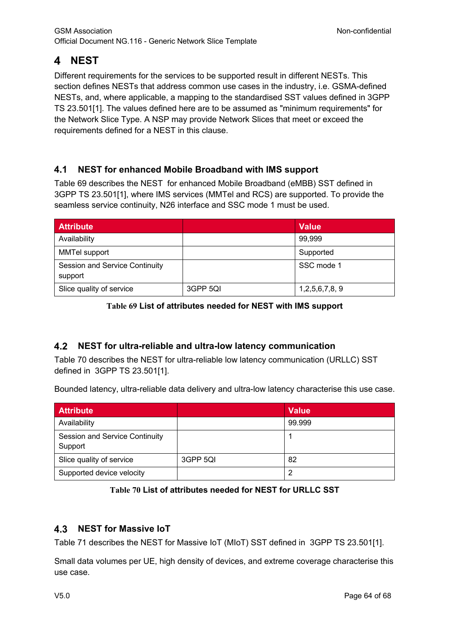# **NEST**

Different requirements for the services to be supported result in different NESTs. This section defines NESTs that address common use cases in the industry, i.e. GSMA-defined NESTs, and, where applicable, a mapping to the standardised SST values defined in 3GPP TS 23.501[1]. The values defined here are to be assumed as "minimum requirements" for the Network Slice Type. A NSP may provide Network Slices that meet or exceed the requirements defined for a NEST in this clause.

#### $4.1$ **NEST for enhanced Mobile Broadband with IMS support**

Table 69 describes the NEST for enhanced Mobile Broadband (eMBB) SST defined in 3GPP TS 23.501[1], where IMS services (MMTel and RCS) are supported. To provide the seamless service continuity, N26 interface and SSC mode 1 must be used.

| <b>Attribute</b>                                 |          | <b>Value</b>   |
|--------------------------------------------------|----------|----------------|
| Availability                                     |          | 99,999         |
| MMTel support                                    |          | Supported      |
| <b>Session and Service Continuity</b><br>support |          | SSC mode 1     |
| Slice quality of service                         | 3GPP 5QI | 1,2,5,6,7,8, 9 |

### **Table 69 List of attributes needed for NEST with IMS support**

#### 4.2 **NEST for ultra-reliable and ultra-low latency communication**

Table 70 describes the NEST for ultra-reliable low latency communication (URLLC) SST defined in 3GPP TS 23.501[1].

Bounded latency, ultra-reliable data delivery and ultra-low latency characterise this use case.

| <b>Attribute</b>                                 |          | <b>Value</b> |
|--------------------------------------------------|----------|--------------|
| Availability                                     |          | 99.999       |
| <b>Session and Service Continuity</b><br>Support |          |              |
| Slice quality of service                         | 3GPP 5QI | 82           |
| Supported device velocity                        |          |              |

### **Table 70 List of attributes needed for NEST for URLLC SST**

#### $4.3$ **NEST for Massive IoT**

Table 71 describes the NEST for Massive IoT (MIoT) SST defined in 3GPP TS 23.501[1].

Small data volumes per UE, high density of devices, and extreme coverage characterise this use case.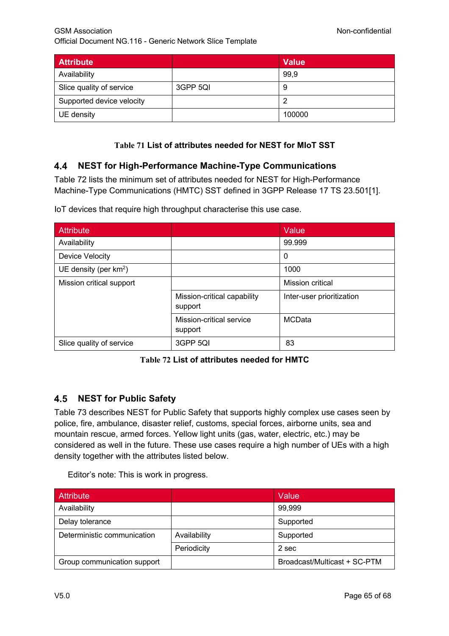| <b>Attribute</b>          |          | <b>Value</b> |
|---------------------------|----------|--------------|
| Availability              |          | 99,9         |
| Slice quality of service  | 3GPP 5QI | g            |
| Supported device velocity |          | 0            |
| UE density                |          | 100000       |

## **Table 71 List of attributes needed for NEST for MIoT SST**

#### $4.4$ **NEST for High-Performance Machine-Type Communications**

Table 72 lists the minimum set of attributes needed for NEST for High-Performance Machine-Type Communications (HMTC) SST defined in 3GPP Release 17 TS 23.501[1].

| <b>Attribute</b>         |                                        | Value                     |
|--------------------------|----------------------------------------|---------------------------|
| Availability             |                                        | 99.999                    |
| Device Velocity          |                                        | 0                         |
| UE density (per $km^2$ ) |                                        | 1000                      |
| Mission critical support |                                        | Mission critical          |
|                          | Mission-critical capability<br>support | Inter-user prioritization |
|                          | Mission-critical service<br>support    | <b>MCData</b>             |
| Slice quality of service | 3GPP 5QI                               | 83                        |

IoT devices that require high throughput characterise this use case.

## **Table 72 List of attributes needed for HMTC**

#### **NEST for Public Safety** 4.5

Table 73 describes NEST for Public Safety that supports highly complex use cases seen by police, fire, ambulance, disaster relief, customs, special forces, airborne units, sea and mountain rescue, armed forces. Yellow light units (gas, water, electric, etc.) may be considered as well in the future. These use cases require a high number of UEs with a high density together with the attributes listed below.

Editor's note: This is work in progress.

| <b>Attribute</b>            |              | Value                        |
|-----------------------------|--------------|------------------------------|
| Availability                |              | 99,999                       |
| Delay tolerance             |              | Supported                    |
| Deterministic communication | Availability | Supported                    |
|                             | Periodicity  | 2 sec                        |
| Group communication support |              | Broadcast/Multicast + SC-PTM |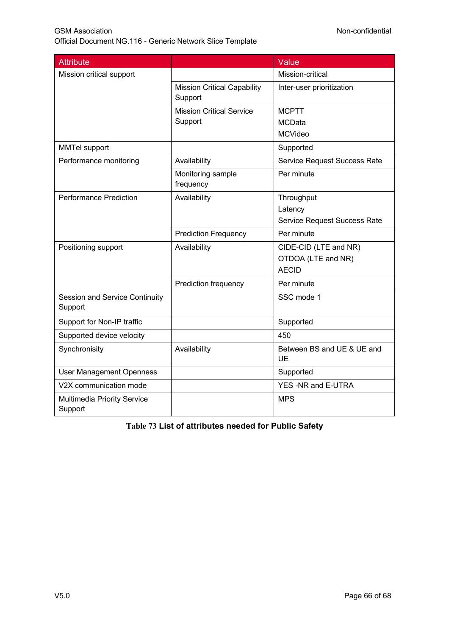| <b>Attribute</b>                              |                                               | Value                               |
|-----------------------------------------------|-----------------------------------------------|-------------------------------------|
| Mission critical support                      |                                               | Mission-critical                    |
|                                               | <b>Mission Critical Capability</b><br>Support | Inter-user prioritization           |
|                                               | <b>Mission Critical Service</b>               | <b>MCPTT</b>                        |
|                                               | Support                                       | <b>MCData</b>                       |
|                                               |                                               | <b>MCVideo</b>                      |
| <b>MMTel support</b>                          |                                               | Supported                           |
| Performance monitoring                        | Availability                                  | <b>Service Request Success Rate</b> |
|                                               | Monitoring sample<br>frequency                | Per minute                          |
| <b>Performance Prediction</b>                 | Availability                                  | Throughput                          |
|                                               |                                               | Latency                             |
|                                               |                                               | Service Request Success Rate        |
|                                               | <b>Prediction Frequency</b>                   | Per minute                          |
| Positioning support                           | Availability                                  | CIDE-CID (LTE and NR)               |
|                                               |                                               | OTDOA (LTE and NR)                  |
|                                               |                                               | <b>AECID</b>                        |
|                                               | Prediction frequency                          | Per minute                          |
| Session and Service Continuity<br>Support     |                                               | SSC mode 1                          |
| Support for Non-IP traffic                    |                                               | Supported                           |
| Supported device velocity                     |                                               | 450                                 |
| Synchronisity                                 | Availability                                  | Between BS and UE & UE and<br>UE    |
| <b>User Management Openness</b>               |                                               | Supported                           |
| V2X communication mode                        |                                               | YES -NR and E-UTRA                  |
| <b>Multimedia Priority Service</b><br>Support |                                               | <b>MPS</b>                          |

**Table 73 List of attributes needed for Public Safety**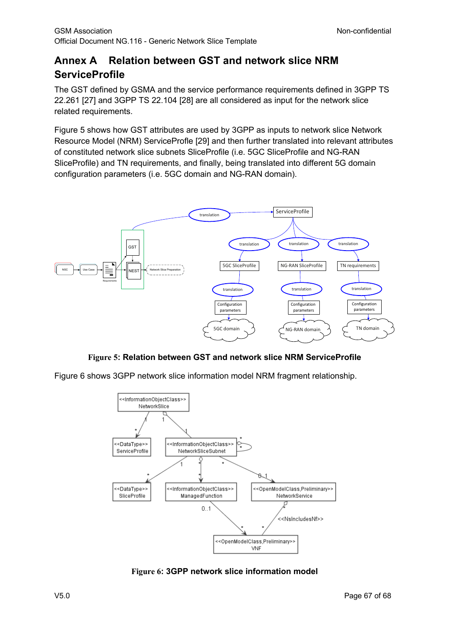# **Annex A Relation between GST and network slice NRM ServiceProfile**

The GST defined by GSMA and the service performance requirements defined in 3GPP TS 22.261 [27] and 3GPP TS 22.104 [28] are all considered as input for the network slice related requirements.

Figure 5 shows how GST attributes are used by 3GPP as inputs to network slice Network Resource Model (NRM) ServiceProfle [29] and then further translated into relevant attributes of constituted network slice subnets SliceProfile (i.e. 5GC SliceProfile and NG-RAN SliceProfile) and TN requirements, and finally, being translated into different 5G domain configuration parameters (i.e. 5GC domain and NG-RAN domain).



## **Figure 5: Relation between GST and network slice NRM ServiceProfile**

Figure 6 shows 3GPP network slice information model NRM fragment relationship.



**Figure 6: 3GPP network slice information model**